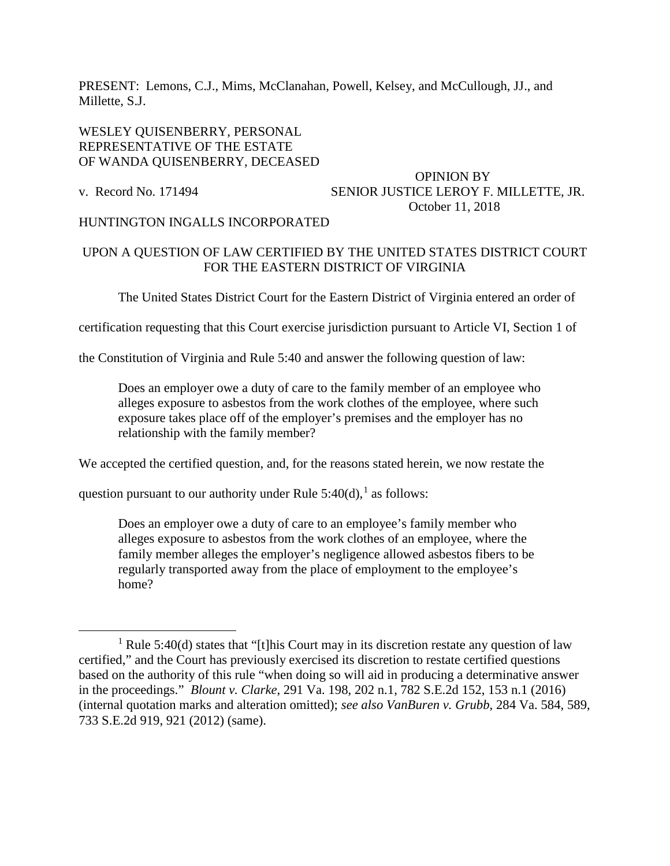PRESENT: Lemons, C.J., Mims, McClanahan, Powell, Kelsey, and McCullough, JJ., and Millette, S.J.

## WESLEY QUISENBERRY, PERSONAL REPRESENTATIVE OF THE ESTATE OF WANDA QUISENBERRY, DECEASED

## OPINION BY v. Record No. 171494 SENIOR JUSTICE LEROY F. MILLETTE, JR. October 11, 2018

## HUNTINGTON INGALLS INCORPORATED

# UPON A QUESTION OF LAW CERTIFIED BY THE UNITED STATES DISTRICT COURT FOR THE EASTERN DISTRICT OF VIRGINIA

The United States District Court for the Eastern District of Virginia entered an order of

certification requesting that this Court exercise jurisdiction pursuant to Article VI, Section 1 of

the Constitution of Virginia and Rule 5:40 and answer the following question of law:

Does an employer owe a duty of care to the family member of an employee who alleges exposure to asbestos from the work clothes of the employee, where such exposure takes place off of the employer's premises and the employer has no relationship with the family member?

We accepted the certified question, and, for the reasons stated herein, we now restate the

question pursuant to our authority under Rule  $5:40(d)$ ,<sup>[1](#page-0-0)</sup> as follows:

Does an employer owe a duty of care to an employee's family member who alleges exposure to asbestos from the work clothes of an employee, where the family member alleges the employer's negligence allowed asbestos fibers to be regularly transported away from the place of employment to the employee's home?

<span id="page-0-0"></span><sup>&</sup>lt;sup>1</sup> Rule 5:40(d) states that "[t]his Court may in its discretion restate any question of law certified," and the Court has previously exercised its discretion to restate certified questions based on the authority of this rule "when doing so will aid in producing a determinative answer in the proceedings." *Blount v. Clarke*, 291 Va. 198, 202 n.1, 782 S.E.2d 152, 153 n.1 (2016) (internal quotation marks and alteration omitted); *see also VanBuren v. Grubb*, 284 Va. 584, 589, 733 S.E.2d 919, 921 (2012) (same).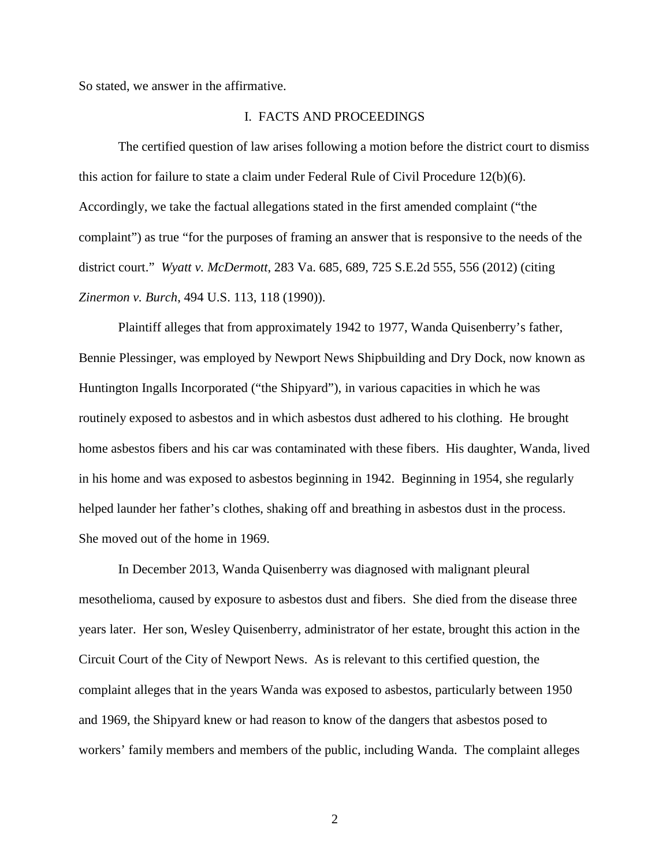So stated, we answer in the affirmative.

#### I. FACTS AND PROCEEDINGS

The certified question of law arises following a motion before the district court to dismiss this action for failure to state a claim under Federal Rule of Civil Procedure 12(b)(6). Accordingly, we take the factual allegations stated in the first amended complaint ("the complaint") as true "for the purposes of framing an answer that is responsive to the needs of the district court." *Wyatt v. McDermott*, 283 Va. 685, 689, 725 S.E.2d 555, 556 (2012) (citing *Zinermon v. Burch*, 494 U.S. 113, 118 (1990)).

Plaintiff alleges that from approximately 1942 to 1977, Wanda Quisenberry's father, Bennie Plessinger, was employed by Newport News Shipbuilding and Dry Dock, now known as Huntington Ingalls Incorporated ("the Shipyard"), in various capacities in which he was routinely exposed to asbestos and in which asbestos dust adhered to his clothing. He brought home asbestos fibers and his car was contaminated with these fibers. His daughter, Wanda, lived in his home and was exposed to asbestos beginning in 1942. Beginning in 1954, she regularly helped launder her father's clothes, shaking off and breathing in asbestos dust in the process. She moved out of the home in 1969.

 In December 2013, Wanda Quisenberry was diagnosed with malignant pleural mesothelioma, caused by exposure to asbestos dust and fibers. She died from the disease three years later. Her son, Wesley Quisenberry, administrator of her estate, brought this action in the Circuit Court of the City of Newport News. As is relevant to this certified question, the complaint alleges that in the years Wanda was exposed to asbestos, particularly between 1950 and 1969, the Shipyard knew or had reason to know of the dangers that asbestos posed to workers' family members and members of the public, including Wanda. The complaint alleges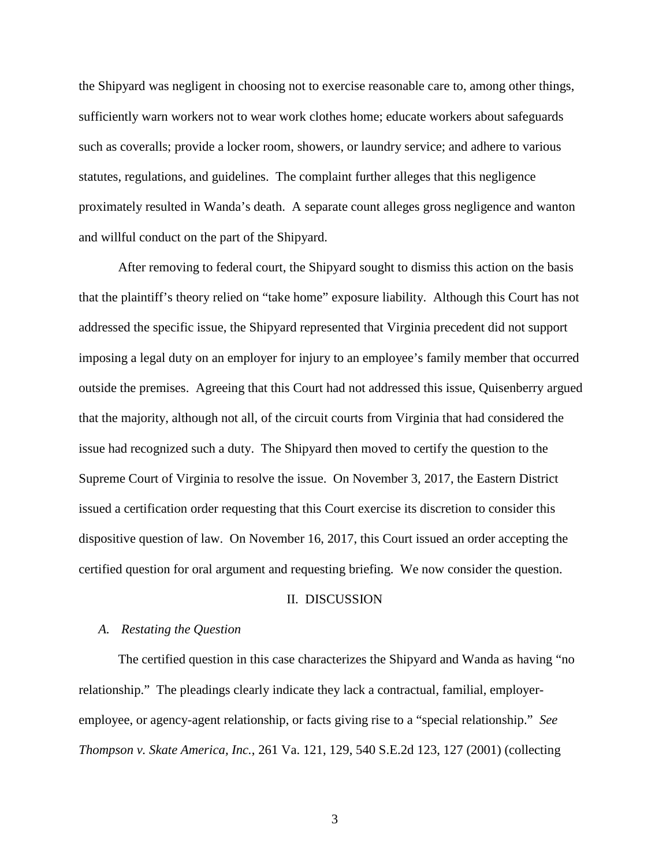the Shipyard was negligent in choosing not to exercise reasonable care to, among other things, sufficiently warn workers not to wear work clothes home; educate workers about safeguards such as coveralls; provide a locker room, showers, or laundry service; and adhere to various statutes, regulations, and guidelines. The complaint further alleges that this negligence proximately resulted in Wanda's death. A separate count alleges gross negligence and wanton and willful conduct on the part of the Shipyard.

After removing to federal court, the Shipyard sought to dismiss this action on the basis that the plaintiff's theory relied on "take home" exposure liability. Although this Court has not addressed the specific issue, the Shipyard represented that Virginia precedent did not support imposing a legal duty on an employer for injury to an employee's family member that occurred outside the premises. Agreeing that this Court had not addressed this issue, Quisenberry argued that the majority, although not all, of the circuit courts from Virginia that had considered the issue had recognized such a duty. The Shipyard then moved to certify the question to the Supreme Court of Virginia to resolve the issue. On November 3, 2017, the Eastern District issued a certification order requesting that this Court exercise its discretion to consider this dispositive question of law. On November 16, 2017, this Court issued an order accepting the certified question for oral argument and requesting briefing. We now consider the question.

#### II. DISCUSSION

#### *A. Restating the Question*

The certified question in this case characterizes the Shipyard and Wanda as having "no relationship." The pleadings clearly indicate they lack a contractual, familial, employeremployee, or agency-agent relationship, or facts giving rise to a "special relationship." *See Thompson v. Skate America, Inc.*, 261 Va. 121, 129, 540 S.E.2d 123, 127 (2001) (collecting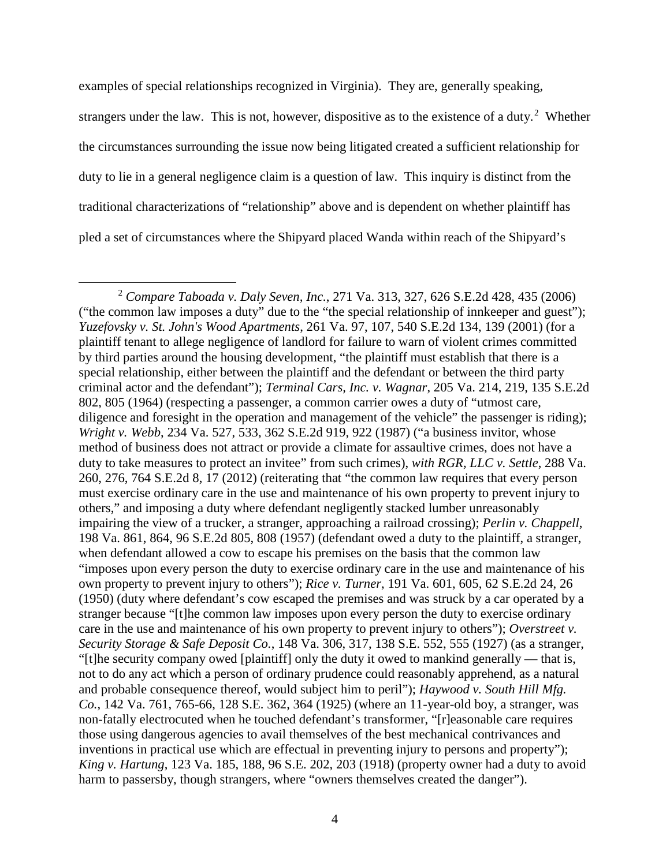examples of special relationships recognized in Virginia). They are, generally speaking, strangers under the law. This is not, however, dispositive as to the existence of a duty.<sup>[2](#page-3-0)</sup> Whether the circumstances surrounding the issue now being litigated created a sufficient relationship for duty to lie in a general negligence claim is a question of law. This inquiry is distinct from the traditional characterizations of "relationship" above and is dependent on whether plaintiff has pled a set of circumstances where the Shipyard placed Wanda within reach of the Shipyard's

<span id="page-3-0"></span><sup>2</sup> *Compare Taboada v. Daly Seven, Inc.*, 271 Va. 313, 327, 626 S.E.2d 428, 435 (2006) ("the common law imposes a duty" due to the "the special relationship of innkeeper and guest"); *Yuzefovsky v. St. John's Wood Apartments*, 261 Va. 97, 107, 540 S.E.2d 134, 139 (2001) (for a plaintiff tenant to allege negligence of landlord for failure to warn of violent crimes committed by third parties around the housing development, "the plaintiff must establish that there is a special relationship, either between the plaintiff and the defendant or between the third party criminal actor and the defendant"); *Terminal Cars, Inc. v. Wagnar*, 205 Va. 214, 219, 135 S.E.2d 802, 805 (1964) (respecting a passenger, a common carrier owes a duty of "utmost care, diligence and foresight in the operation and management of the vehicle" the passenger is riding); *Wright v. Webb*, 234 Va. 527, 533, 362 S.E.2d 919, 922 (1987) ("a business invitor, whose method of business does not attract or provide a climate for assaultive crimes, does not have a duty to take measures to protect an invitee" from such crimes), *with RGR, LLC v. Settle*, 288 Va. 260, 276, 764 S.E.2d 8, 17 (2012) (reiterating that "the common law requires that every person must exercise ordinary care in the use and maintenance of his own property to prevent injury to others," and imposing a duty where defendant negligently stacked lumber unreasonably impairing the view of a trucker, a stranger, approaching a railroad crossing); *Perlin v. Chappell*, 198 Va. 861, 864, 96 S.E.2d 805, 808 (1957) (defendant owed a duty to the plaintiff, a stranger, when defendant allowed a cow to escape his premises on the basis that the common law "imposes upon every person the duty to exercise ordinary care in the use and maintenance of his own property to prevent injury to others"); *Rice v. Turner*, 191 Va. 601, 605, 62 S.E.2d 24, 26 (1950) (duty where defendant's cow escaped the premises and was struck by a car operated by a stranger because "[t]he common law imposes upon every person the duty to exercise ordinary care in the use and maintenance of his own property to prevent injury to others"); *Overstreet v. Security Storage & Safe Deposit Co.*, 148 Va. 306, 317, 138 S.E. 552, 555 (1927) (as a stranger, "[t]he security company owed [plaintiff] only the duty it owed to mankind generally — that is, not to do any act which a person of ordinary prudence could reasonably apprehend, as a natural and probable consequence thereof, would subject him to peril"); *Haywood v. South Hill Mfg. Co.*, 142 Va. 761, 765-66, 128 S.E. 362, 364 (1925) (where an 11-year-old boy, a stranger, was non-fatally electrocuted when he touched defendant's transformer, "[r]easonable care requires those using dangerous agencies to avail themselves of the best mechanical contrivances and inventions in practical use which are effectual in preventing injury to persons and property"); *King v. Hartung*, 123 Va. 185, 188, 96 S.E. 202, 203 (1918) (property owner had a duty to avoid harm to passersby, though strangers, where "owners themselves created the danger").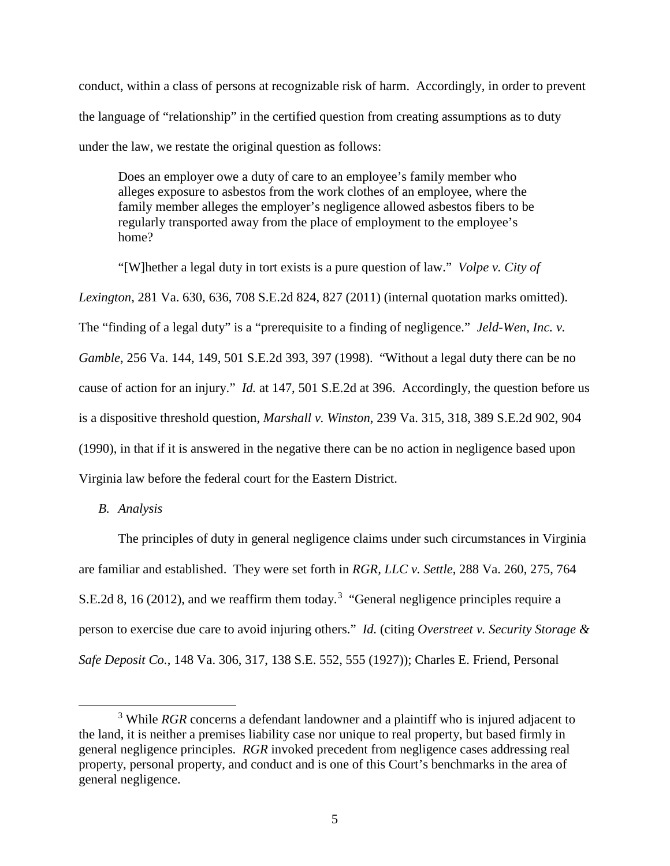conduct, within a class of persons at recognizable risk of harm. Accordingly, in order to prevent the language of "relationship" in the certified question from creating assumptions as to duty under the law, we restate the original question as follows:

Does an employer owe a duty of care to an employee's family member who alleges exposure to asbestos from the work clothes of an employee, where the family member alleges the employer's negligence allowed asbestos fibers to be regularly transported away from the place of employment to the employee's home?

"[W]hether a legal duty in tort exists is a pure question of law." *Volpe v. City of Lexington*, 281 Va. 630, 636, 708 S.E.2d 824, 827 (2011) (internal quotation marks omitted). The "finding of a legal duty" is a "prerequisite to a finding of negligence." *Jeld-Wen, Inc. v. Gamble*, 256 Va. 144, 149, 501 S.E.2d 393, 397 (1998). "Without a legal duty there can be no cause of action for an injury." *Id.* at 147, 501 S.E.2d at 396. Accordingly, the question before us is a dispositive threshold question, *Marshall v. Winston*, 239 Va. 315, 318, 389 S.E.2d 902, 904 (1990), in that if it is answered in the negative there can be no action in negligence based upon Virginia law before the federal court for the Eastern District.

*B. Analysis* 

The principles of duty in general negligence claims under such circumstances in Virginia are familiar and established. They were set forth in *RGR, LLC v. Settle*, 288 Va. 260, 275, 764 S.E.2d 8, 16 (2012), and we reaffirm them today.<sup>[3](#page-4-0)</sup> "General negligence principles require a person to exercise due care to avoid injuring others." *Id.* (citing *Overstreet v. Security Storage & Safe Deposit Co.*, 148 Va. 306, 317, 138 S.E. 552, 555 (1927)); Charles E. Friend, Personal

<span id="page-4-0"></span><sup>&</sup>lt;sup>3</sup> While *RGR* concerns a defendant landowner and a plaintiff who is injured adjacent to the land, it is neither a premises liability case nor unique to real property, but based firmly in general negligence principles. *RGR* invoked precedent from negligence cases addressing real property, personal property, and conduct and is one of this Court's benchmarks in the area of general negligence.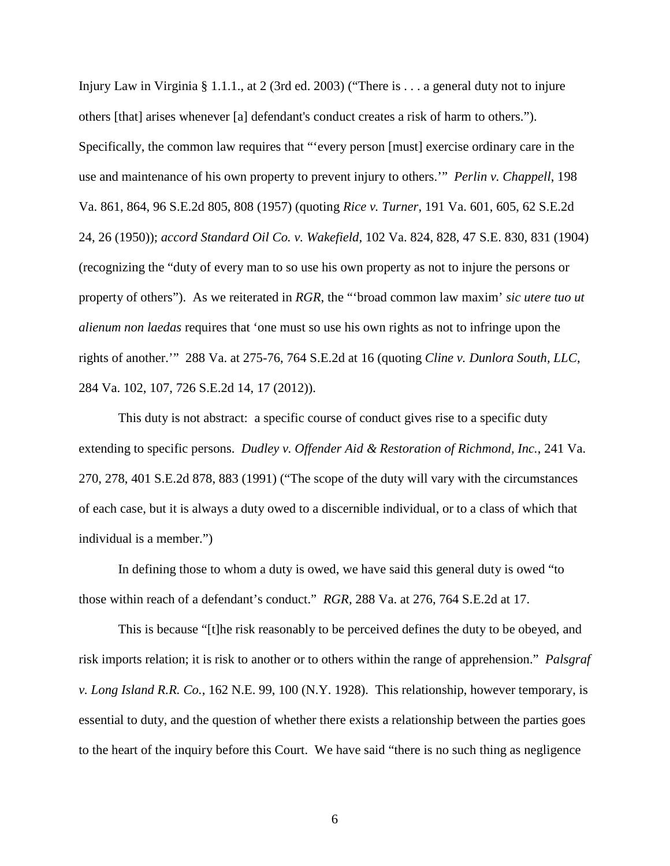Injury Law in Virginia § 1.1.1., at 2 (3rd ed. 2003) ("There is . . . a general duty not to injure others [that] arises whenever [a] defendant's conduct creates a risk of harm to others."). Specifically, the common law requires that "'every person [must] exercise ordinary care in the use and maintenance of his own property to prevent injury to others.'" *Perlin v. Chappell*, 198 Va. 861, 864, 96 S.E.2d 805, 808 (1957) (quoting *Rice v. Turner*, 191 Va. 601, 605, 62 S.E.2d 24, 26 (1950)); *accord Standard Oil Co. v. Wakefield,* 102 Va. 824, 828, 47 S.E. 830, 831 (1904) (recognizing the "duty of every man to so use his own property as not to injure the persons or property of others"). As we reiterated in *RGR*, the "'broad common law maxim' *sic utere tuo ut alienum non laedas* requires that 'one must so use his own rights as not to infringe upon the rights of another.'" 288 Va. at 275-76, 764 S.E.2d at 16 (quoting *Cline v. Dunlora South, LLC*, 284 Va. 102, 107, 726 S.E.2d 14, 17 (2012)).

This duty is not abstract: a specific course of conduct gives rise to a specific duty extending to specific persons. *Dudley v. Offender Aid & Restoration of Richmond, Inc.*, 241 Va. 270, 278, 401 S.E.2d 878, 883 (1991) ("The scope of the duty will vary with the circumstances of each case, but it is always a duty owed to a discernible individual, or to a class of which that individual is a member.")

In defining those to whom a duty is owed, we have said this general duty is owed "to those within reach of a defendant's conduct." *RGR,* 288 Va. at 276, 764 S.E.2d at 17.

This is because "[t]he risk reasonably to be perceived defines the duty to be obeyed, and risk imports relation; it is risk to another or to others within the range of apprehension." *Palsgraf v. Long Island R.R. Co.*, 162 N.E. 99, 100 (N.Y. 1928). This relationship, however temporary, is essential to duty, and the question of whether there exists a relationship between the parties goes to the heart of the inquiry before this Court. We have said "there is no such thing as negligence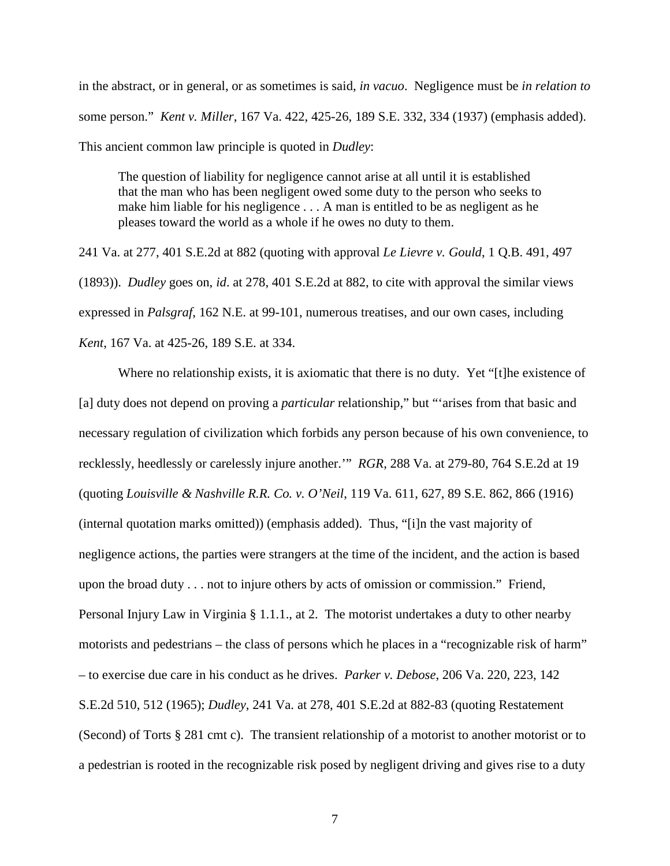in the abstract, or in general, or as sometimes is said, *in vacuo*. Negligence must be *in relation to* some person." *Kent v. Miller*, 167 Va. 422, 425-26, 189 S.E. 332, 334 (1937) (emphasis added). This ancient common law principle is quoted in *Dudley*:

The question of liability for negligence cannot arise at all until it is established that the man who has been negligent owed some duty to the person who seeks to make him liable for his negligence . . . A man is entitled to be as negligent as he pleases toward the world as a whole if he owes no duty to them.

241 Va. at 277, 401 S.E.2d at 882 (quoting with approval *Le Lievre v. Gould*, 1 Q.B. 491, 497 (1893)). *Dudley* goes on, *id*. at 278, 401 S.E.2d at 882, to cite with approval the similar views expressed in *Palsgraf*, 162 N.E. at 99-101, numerous treatises, and our own cases, including *Kent*, 167 Va. at 425-26, 189 S.E. at 334.

Where no relationship exists, it is axiomatic that there is no duty. Yet "[t]he existence of [a] duty does not depend on proving a *particular* relationship," but "'arises from that basic and necessary regulation of civilization which forbids any person because of his own convenience, to recklessly, heedlessly or carelessly injure another.'" *RGR*, 288 Va. at 279-80, 764 S.E.2d at 19 (quoting *Louisville & Nashville R.R. Co. v. O'Neil*, 119 Va. 611, 627, 89 S.E. 862, 866 (1916) (internal quotation marks omitted)) (emphasis added). Thus, "[i]n the vast majority of negligence actions, the parties were strangers at the time of the incident, and the action is based upon the broad duty . . . not to injure others by acts of omission or commission." Friend, Personal Injury Law in Virginia § 1.1.1., at 2. The motorist undertakes a duty to other nearby motorists and pedestrians – the class of persons which he places in a "recognizable risk of harm" – to exercise due care in his conduct as he drives. *Parker v. Debose*, 206 Va. 220, 223, 142 S.E.2d 510, 512 (1965); *Dudley*, 241 Va. at 278, 401 S.E.2d at 882-83 (quoting Restatement (Second) of Torts § 281 cmt c). The transient relationship of a motorist to another motorist or to a pedestrian is rooted in the recognizable risk posed by negligent driving and gives rise to a duty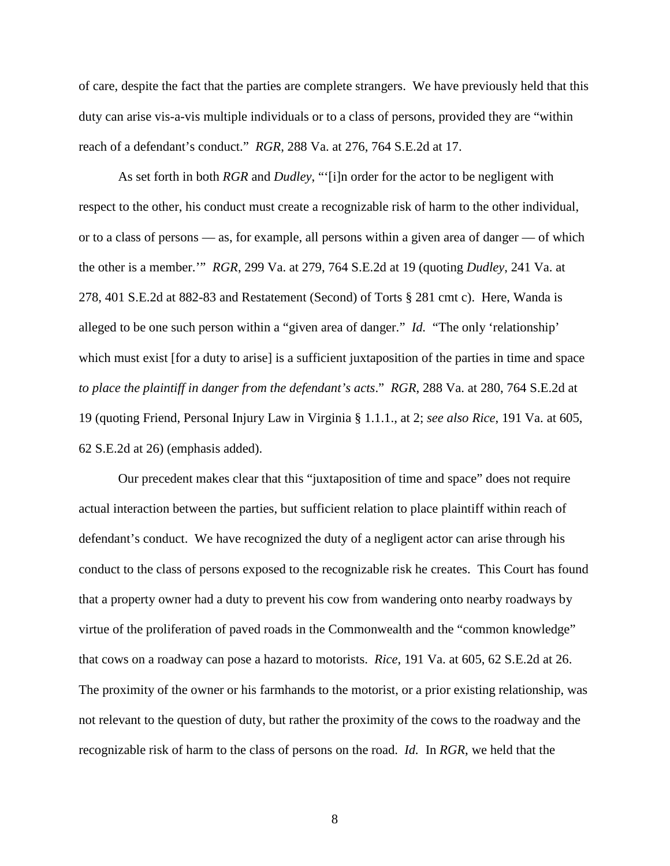of care, despite the fact that the parties are complete strangers. We have previously held that this duty can arise vis-a-vis multiple individuals or to a class of persons, provided they are "within reach of a defendant's conduct." *RGR*, 288 Va. at 276, 764 S.E.2d at 17.

As set forth in both *RGR* and *Dudley*, "'[i]n order for the actor to be negligent with respect to the other, his conduct must create a recognizable risk of harm to the other individual, or to a class of persons — as, for example, all persons within a given area of danger — of which the other is a member.'" *RGR*, 299 Va. at 279, 764 S.E.2d at 19 (quoting *Dudley*, 241 Va. at 278, 401 S.E.2d at 882-83 and Restatement (Second) of Torts § 281 cmt c). Here, Wanda is alleged to be one such person within a "given area of danger." *Id.* "The only 'relationship' which must exist [for a duty to arise] is a sufficient juxtaposition of the parties in time and space *to place the plaintiff in danger from the defendant's acts*." *RGR*, 288 Va. at 280, 764 S.E.2d at 19 (quoting Friend, Personal Injury Law in Virginia § 1.1.1., at 2; *see also Rice*, 191 Va. at 605, 62 S.E.2d at 26) (emphasis added).

Our precedent makes clear that this "juxtaposition of time and space" does not require actual interaction between the parties, but sufficient relation to place plaintiff within reach of defendant's conduct. We have recognized the duty of a negligent actor can arise through his conduct to the class of persons exposed to the recognizable risk he creates. This Court has found that a property owner had a duty to prevent his cow from wandering onto nearby roadways by virtue of the proliferation of paved roads in the Commonwealth and the "common knowledge" that cows on a roadway can pose a hazard to motorists. *Rice*, 191 Va. at 605, 62 S.E.2d at 26. The proximity of the owner or his farmhands to the motorist, or a prior existing relationship, was not relevant to the question of duty, but rather the proximity of the cows to the roadway and the recognizable risk of harm to the class of persons on the road. *Id.* In *RGR*, we held that the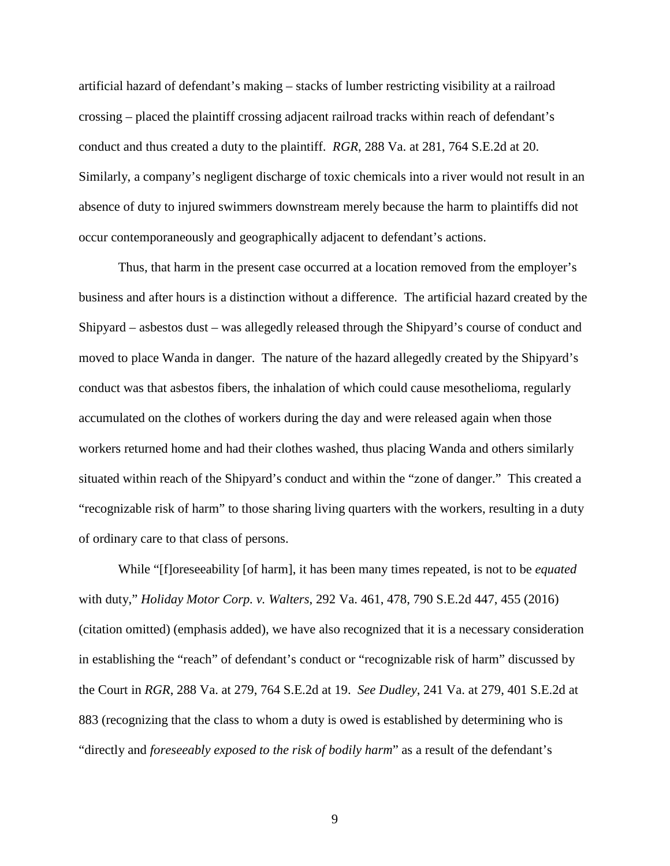artificial hazard of defendant's making – stacks of lumber restricting visibility at a railroad crossing – placed the plaintiff crossing adjacent railroad tracks within reach of defendant's conduct and thus created a duty to the plaintiff. *RGR*, 288 Va. at 281, 764 S.E.2d at 20. Similarly, a company's negligent discharge of toxic chemicals into a river would not result in an absence of duty to injured swimmers downstream merely because the harm to plaintiffs did not occur contemporaneously and geographically adjacent to defendant's actions.

Thus, that harm in the present case occurred at a location removed from the employer's business and after hours is a distinction without a difference. The artificial hazard created by the Shipyard – asbestos dust – was allegedly released through the Shipyard's course of conduct and moved to place Wanda in danger. The nature of the hazard allegedly created by the Shipyard's conduct was that asbestos fibers, the inhalation of which could cause mesothelioma, regularly accumulated on the clothes of workers during the day and were released again when those workers returned home and had their clothes washed, thus placing Wanda and others similarly situated within reach of the Shipyard's conduct and within the "zone of danger." This created a "recognizable risk of harm" to those sharing living quarters with the workers, resulting in a duty of ordinary care to that class of persons.

While "[f]oreseeability [of harm], it has been many times repeated, is not to be *equated* with duty," *Holiday Motor Corp. v. Walters*, 292 Va. 461, 478, 790 S.E.2d 447, 455 (2016) (citation omitted) (emphasis added), we have also recognized that it is a necessary consideration in establishing the "reach" of defendant's conduct or "recognizable risk of harm" discussed by the Court in *RGR*, 288 Va. at 279, 764 S.E.2d at 19. *See Dudley*, 241 Va. at 279, 401 S.E.2d at 883 (recognizing that the class to whom a duty is owed is established by determining who is "directly and *foreseeably exposed to the risk of bodily harm*" as a result of the defendant's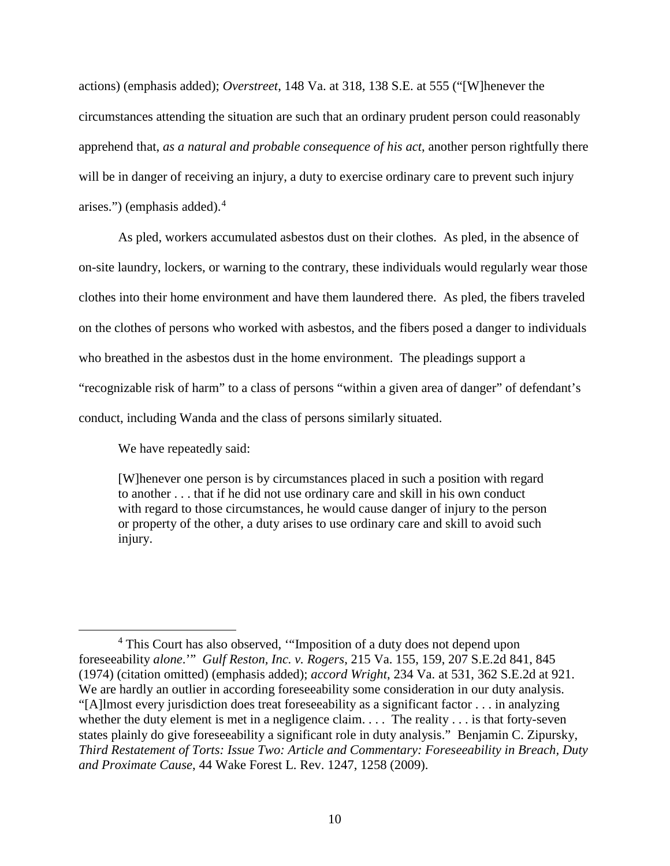actions) (emphasis added); *Overstreet*, 148 Va. at 318, 138 S.E. at 555 ("[W]henever the circumstances attending the situation are such that an ordinary prudent person could reasonably apprehend that, *as a natural and probable consequence of his act*, another person rightfully there will be in danger of receiving an injury, a duty to exercise ordinary care to prevent such injury arises.") (emphasis added). [4](#page-9-0)

As pled, workers accumulated asbestos dust on their clothes. As pled, in the absence of on-site laundry, lockers, or warning to the contrary, these individuals would regularly wear those clothes into their home environment and have them laundered there. As pled, the fibers traveled on the clothes of persons who worked with asbestos, and the fibers posed a danger to individuals who breathed in the asbestos dust in the home environment. The pleadings support a "recognizable risk of harm" to a class of persons "within a given area of danger" of defendant's conduct, including Wanda and the class of persons similarly situated.

We have repeatedly said:

[W]henever one person is by circumstances placed in such a position with regard to another . . . that if he did not use ordinary care and skill in his own conduct with regard to those circumstances, he would cause danger of injury to the person or property of the other, a duty arises to use ordinary care and skill to avoid such injury.

<span id="page-9-0"></span> $\overline{4}$ <sup>4</sup> This Court has also observed, "'Imposition of a duty does not depend upon foreseeability *alone*.'" *Gulf Reston, Inc. v. Rogers*, 215 Va. 155, 159, 207 S.E.2d 841, 845 (1974) (citation omitted) (emphasis added); *accord Wright*, 234 Va. at 531, 362 S.E.2d at 921. We are hardly an outlier in according foreseeability some consideration in our duty analysis. "[A]lmost every jurisdiction does treat foreseeability as a significant factor . . . in analyzing whether the duty element is met in a negligence claim.  $\ldots$  The reality  $\ldots$  is that forty-seven states plainly do give foreseeability a significant role in duty analysis." Benjamin C. Zipursky, *Third Restatement of Torts: Issue Two: Article and Commentary: Foreseeability in Breach, Duty and Proximate Cause*, 44 Wake Forest L. Rev. 1247, 1258 (2009).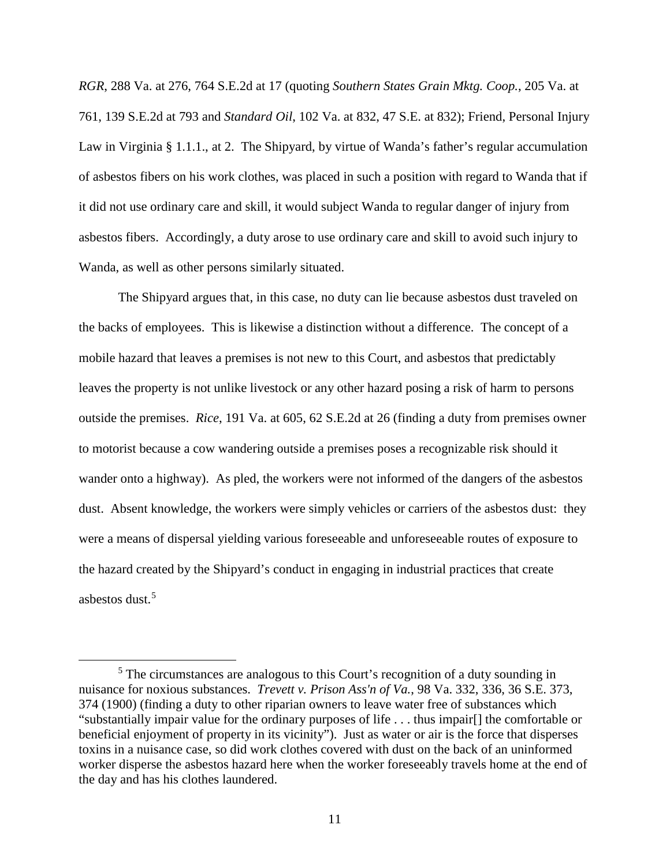*RGR*, 288 Va. at 276, 764 S.E.2d at 17 (quoting *Southern States Grain Mktg. Coop.*, 205 Va. at 761, 139 S.E.2d at 793 and *Standard Oil*, 102 Va. at 832, 47 S.E. at 832); Friend, Personal Injury Law in Virginia § 1.1.1., at 2. The Shipyard, by virtue of Wanda's father's regular accumulation of asbestos fibers on his work clothes, was placed in such a position with regard to Wanda that if it did not use ordinary care and skill, it would subject Wanda to regular danger of injury from asbestos fibers. Accordingly, a duty arose to use ordinary care and skill to avoid such injury to Wanda, as well as other persons similarly situated.

 The Shipyard argues that, in this case, no duty can lie because asbestos dust traveled on the backs of employees. This is likewise a distinction without a difference. The concept of a mobile hazard that leaves a premises is not new to this Court, and asbestos that predictably leaves the property is not unlike livestock or any other hazard posing a risk of harm to persons outside the premises. *Rice*, 191 Va. at 605, 62 S.E.2d at 26 (finding a duty from premises owner to motorist because a cow wandering outside a premises poses a recognizable risk should it wander onto a highway). As pled, the workers were not informed of the dangers of the asbestos dust. Absent knowledge, the workers were simply vehicles or carriers of the asbestos dust: they were a means of dispersal yielding various foreseeable and unforeseeable routes of exposure to the hazard created by the Shipyard's conduct in engaging in industrial practices that create asbestos dust $<sup>5</sup>$  $<sup>5</sup>$  $<sup>5</sup>$ </sup>

<span id="page-10-0"></span> $rac{1}{5}$  $5$  The circumstances are analogous to this Court's recognition of a duty sounding in nuisance for noxious substances. *Trevett v. Prison Ass'n of Va.*, 98 Va. 332, 336, 36 S.E. 373, 374 (1900) (finding a duty to other riparian owners to leave water free of substances which "substantially impair value for the ordinary purposes of life . . . thus impair[] the comfortable or beneficial enjoyment of property in its vicinity"). Just as water or air is the force that disperses toxins in a nuisance case, so did work clothes covered with dust on the back of an uninformed worker disperse the asbestos hazard here when the worker foreseeably travels home at the end of the day and has his clothes laundered.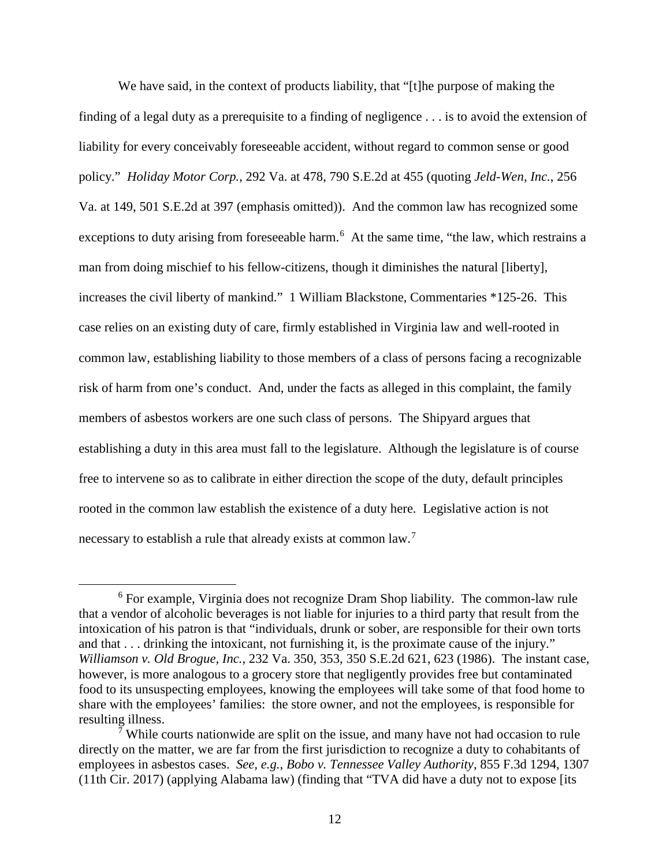We have said, in the context of products liability, that "[t]he purpose of making the finding of a legal duty as a prerequisite to a finding of negligence . . . is to avoid the extension of liability for every conceivably foreseeable accident, without regard to common sense or good policy." *Holiday Motor Corp.*, 292 Va. at 478, 790 S.E.2d at 455 (quoting *Jeld-Wen, Inc.*, 256 Va. at 149, 501 S.E.2d at 397 (emphasis omitted)). And the common law has recognized some exceptions to duty arising from foreseeable harm.<sup>[6](#page-11-0)</sup> At the same time, "the law, which restrains a man from doing mischief to his fellow-citizens, though it diminishes the natural [liberty], increases the civil liberty of mankind." 1 William Blackstone, Commentaries \*125-26. This case relies on an existing duty of care, firmly established in Virginia law and well-rooted in common law, establishing liability to those members of a class of persons facing a recognizable risk of harm from one's conduct. And, under the facts as alleged in this complaint, the family members of asbestos workers are one such class of persons. The Shipyard argues that establishing a duty in this area must fall to the legislature. Although the legislature is of course free to intervene so as to calibrate in either direction the scope of the duty, default principles rooted in the common law establish the existence of a duty here. Legislative action is not necessary to establish a rule that already exists at common law.<sup>[7](#page-11-1)</sup>

<span id="page-11-0"></span><sup>6</sup>  $6$  For example, Virginia does not recognize Dram Shop liability. The common-law rule that a vendor of alcoholic beverages is not liable for injuries to a third party that result from the intoxication of his patron is that "individuals, drunk or sober, are responsible for their own torts and that . . . drinking the intoxicant, not furnishing it, is the proximate cause of the injury." *Williamson v. Old Brogue, Inc.*, 232 Va. 350, 353, 350 S.E.2d 621, 623 (1986). The instant case, however, is more analogous to a grocery store that negligently provides free but contaminated food to its unsuspecting employees, knowing the employees will take some of that food home to share with the employees' families: the store owner, and not the employees, is responsible for resulting illness.

<span id="page-11-1"></span><sup>&</sup>lt;sup>7</sup> While courts nationwide are split on the issue, and many have not had occasion to rule directly on the matter, we are far from the first jurisdiction to recognize a duty to cohabitants of employees in asbestos cases. *See, e.g., Bobo v. Tennessee Valley Authority*, 855 F.3d 1294, 1307 (11th Cir. 2017) (applying Alabama law) (finding that "TVA did have a duty not to expose [its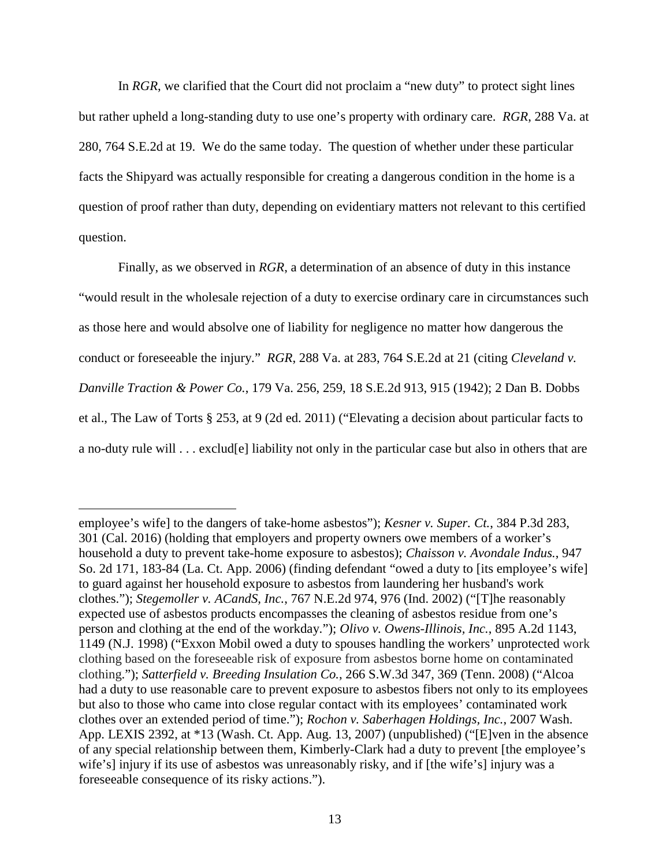In *RGR*, we clarified that the Court did not proclaim a "new duty" to protect sight lines but rather upheld a long-standing duty to use one's property with ordinary care. *RGR*, 288 Va. at 280, 764 S.E.2d at 19. We do the same today. The question of whether under these particular facts the Shipyard was actually responsible for creating a dangerous condition in the home is a question of proof rather than duty, depending on evidentiary matters not relevant to this certified question.

Finally, as we observed in *RGR*, a determination of an absence of duty in this instance "would result in the wholesale rejection of a duty to exercise ordinary care in circumstances such as those here and would absolve one of liability for negligence no matter how dangerous the conduct or foreseeable the injury." *RGR*, 288 Va. at 283, 764 S.E.2d at 21 (citing *Cleveland v. Danville Traction & Power Co.*, 179 Va. 256, 259, 18 S.E.2d 913, 915 (1942); 2 Dan B. Dobbs et al., The Law of Torts § 253, at 9 (2d ed. 2011) ("Elevating a decision about particular facts to a no-duty rule will . . . exclud[e] liability not only in the particular case but also in others that are

Ĩ. employee's wife] to the dangers of take-home asbestos"); *Kesner v. Super. Ct.*, 384 P.3d 283, 301 (Cal. 2016) (holding that employers and property owners owe members of a worker's household a duty to prevent take-home exposure to asbestos); *Chaisson v. Avondale Indus.*, 947 So. 2d 171, 183-84 (La. Ct. App. 2006) (finding defendant "owed a duty to [its employee's wife] to guard against her household exposure to asbestos from laundering her husband's work clothes."); *Stegemoller v. ACandS, Inc.*, 767 N.E.2d 974, 976 (Ind. 2002) ("[T]he reasonably expected use of asbestos products encompasses the cleaning of asbestos residue from one's person and clothing at the end of the workday."); *Olivo v. Owens-Illinois, Inc.*, 895 A.2d 1143, 1149 (N.J. 1998) ("Exxon Mobil owed a duty to spouses handling the workers' unprotected work clothing based on the foreseeable risk of exposure from asbestos borne home on contaminated clothing."); *Satterfield v. Breeding Insulation Co.*, 266 S.W.3d 347, 369 (Tenn. 2008) ("Alcoa had a duty to use reasonable care to prevent exposure to asbestos fibers not only to its employees but also to those who came into close regular contact with its employees' contaminated work clothes over an extended period of time."); *Rochon v. Saberhagen Holdings, Inc.*, 2007 Wash. App. LEXIS 2392, at \*13 (Wash. Ct. App. Aug. 13, 2007) (unpublished) ("[E]ven in the absence of any special relationship between them, Kimberly-Clark had a duty to prevent [the employee's wife's] injury if its use of asbestos was unreasonably risky, and if [the wife's] injury was a foreseeable consequence of its risky actions.").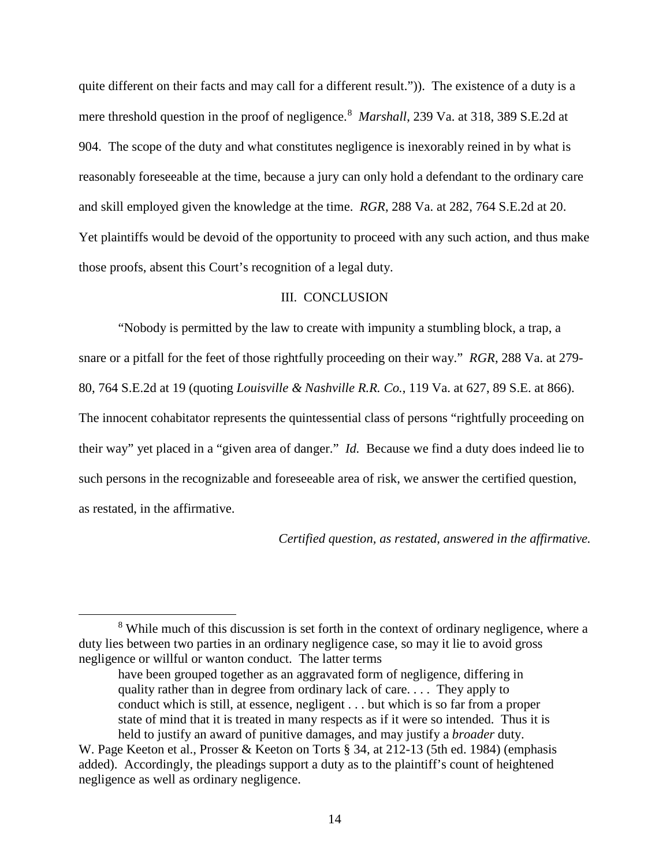quite different on their facts and may call for a different result.")). The existence of a duty is a mere threshold question in the proof of negligence.<sup>[8](#page-13-0)</sup> Marshall, 239 Va. at 318, 389 S.E.2d at 904. The scope of the duty and what constitutes negligence is inexorably reined in by what is reasonably foreseeable at the time, because a jury can only hold a defendant to the ordinary care and skill employed given the knowledge at the time. *RGR*, 288 Va. at 282, 764 S.E.2d at 20. Yet plaintiffs would be devoid of the opportunity to proceed with any such action, and thus make those proofs, absent this Court's recognition of a legal duty.

## III. CONCLUSION

"Nobody is permitted by the law to create with impunity a stumbling block, a trap, a snare or a pitfall for the feet of those rightfully proceeding on their way." *RGR*, 288 Va. at 279- 80, 764 S.E.2d at 19 (quoting *Louisville & Nashville R.R. Co.*, 119 Va. at 627, 89 S.E. at 866). The innocent cohabitator represents the quintessential class of persons "rightfully proceeding on their way" yet placed in a "given area of danger." *Id.* Because we find a duty does indeed lie to such persons in the recognizable and foreseeable area of risk, we answer the certified question, as restated, in the affirmative.

*Certified question, as restated, answered in the affirmative.* 

<span id="page-13-0"></span><sup>8</sup> <sup>8</sup> While much of this discussion is set forth in the context of ordinary negligence, where a duty lies between two parties in an ordinary negligence case, so may it lie to avoid gross negligence or willful or wanton conduct. The latter terms

have been grouped together as an aggravated form of negligence, differing in quality rather than in degree from ordinary lack of care. . . . They apply to conduct which is still, at essence, negligent . . . but which is so far from a proper state of mind that it is treated in many respects as if it were so intended. Thus it is held to justify an award of punitive damages, and may justify a *broader* duty.

W. Page Keeton et al., Prosser & Keeton on Torts § 34, at 212-13 (5th ed. 1984) (emphasis added). Accordingly, the pleadings support a duty as to the plaintiff's count of heightened negligence as well as ordinary negligence.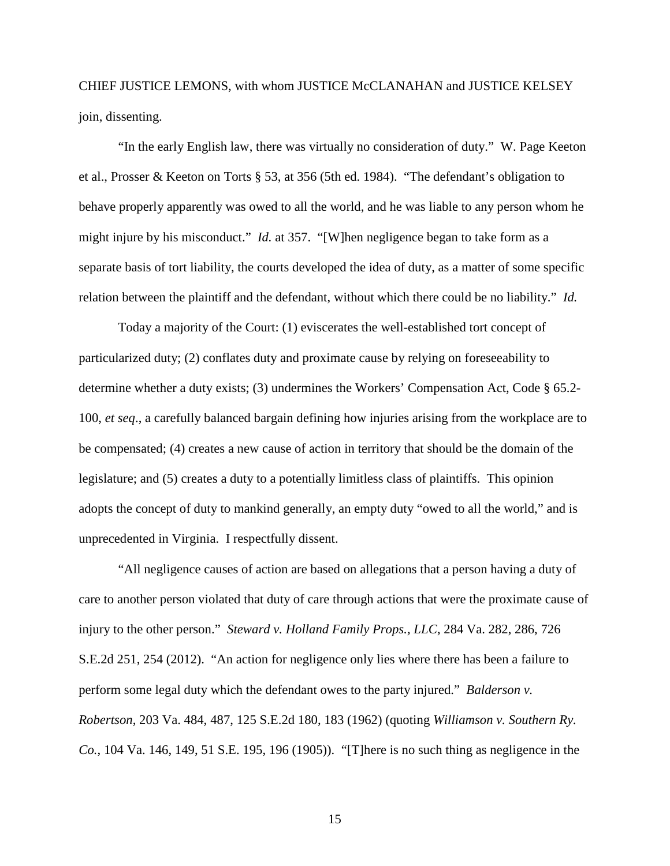CHIEF JUSTICE LEMONS, with whom JUSTICE McCLANAHAN and JUSTICE KELSEY join, dissenting.

 "In the early English law, there was virtually no consideration of duty." W. Page Keeton et al., Prosser & Keeton on Torts § 53, at 356 (5th ed. 1984). "The defendant's obligation to behave properly apparently was owed to all the world, and he was liable to any person whom he might injure by his misconduct." *Id.* at 357. "[W]hen negligence began to take form as a separate basis of tort liability, the courts developed the idea of duty, as a matter of some specific relation between the plaintiff and the defendant, without which there could be no liability." *Id.*

 Today a majority of the Court: (1) eviscerates the well-established tort concept of particularized duty; (2) conflates duty and proximate cause by relying on foreseeability to determine whether a duty exists; (3) undermines the Workers' Compensation Act, Code § 65.2- 100, *et seq*., a carefully balanced bargain defining how injuries arising from the workplace are to be compensated; (4) creates a new cause of action in territory that should be the domain of the legislature; and (5) creates a duty to a potentially limitless class of plaintiffs. This opinion adopts the concept of duty to mankind generally, an empty duty "owed to all the world," and is unprecedented in Virginia. I respectfully dissent.

"All negligence causes of action are based on allegations that a person having a duty of care to another person violated that duty of care through actions that were the proximate cause of injury to the other person." *Steward v. Holland Family Props., LLC*, 284 Va. 282, 286, 726 S.E.2d 251, 254 (2012). "An action for negligence only lies where there has been a failure to perform some legal duty which the defendant owes to the party injured." *Balderson v. Robertson*, 203 Va. 484, 487, 125 S.E.2d 180, 183 (1962) (quoting *Williamson v. Southern Ry. Co.*, 104 Va. 146, 149, 51 S.E. 195, 196 (1905)). "[T]here is no such thing as negligence in the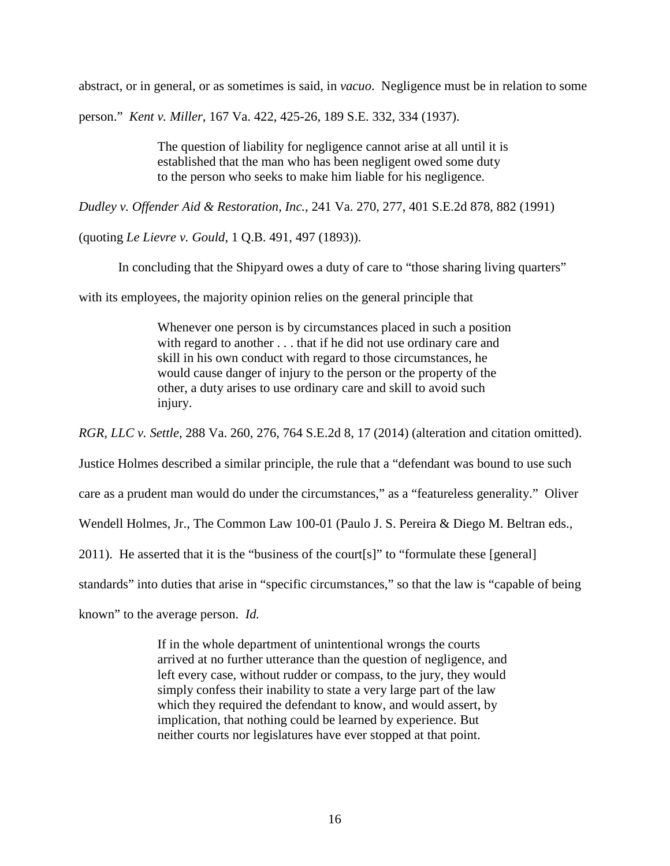abstract, or in general, or as sometimes is said, in *vacuo*. Negligence must be in relation to some

person." *Kent v. Miller*, 167 Va. 422, 425-26, 189 S.E. 332, 334 (1937).

The question of liability for negligence cannot arise at all until it is established that the man who has been negligent owed some duty to the person who seeks to make him liable for his negligence.

*Dudley v. Offender Aid & Restoration, Inc.*, 241 Va. 270, 277, 401 S.E.2d 878, 882 (1991)

(quoting *Le Lievre v. Gould*, 1 Q.B. 491, 497 (1893)).

In concluding that the Shipyard owes a duty of care to "those sharing living quarters"

with its employees, the majority opinion relies on the general principle that

Whenever one person is by circumstances placed in such a position with regard to another . . . that if he did not use ordinary care and skill in his own conduct with regard to those circumstances, he would cause danger of injury to the person or the property of the other, a duty arises to use ordinary care and skill to avoid such injury.

*RGR, LLC v. Settle*, 288 Va. 260, 276, 764 S.E.2d 8, 17 (2014) (alteration and citation omitted).

Justice Holmes described a similar principle, the rule that a "defendant was bound to use such

care as a prudent man would do under the circumstances," as a "featureless generality." Oliver

Wendell Holmes, Jr., The Common Law 100-01 (Paulo J. S. Pereira & Diego M. Beltran eds.,

2011). He asserted that it is the "business of the court[s]" to "formulate these [general]

standards" into duties that arise in "specific circumstances," so that the law is "capable of being

known" to the average person. *Id.*

If in the whole department of unintentional wrongs the courts arrived at no further utterance than the question of negligence, and left every case, without rudder or compass, to the jury, they would simply confess their inability to state a very large part of the law which they required the defendant to know, and would assert, by implication, that nothing could be learned by experience. But neither courts nor legislatures have ever stopped at that point.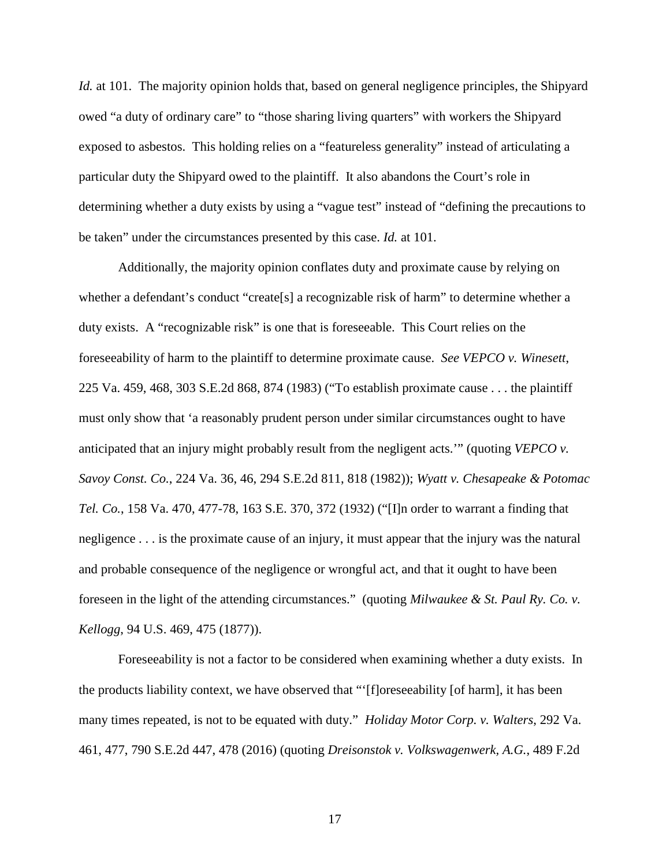*Id.* at 101. The majority opinion holds that, based on general negligence principles, the Shipyard owed "a duty of ordinary care" to "those sharing living quarters" with workers the Shipyard exposed to asbestos. This holding relies on a "featureless generality" instead of articulating a particular duty the Shipyard owed to the plaintiff. It also abandons the Court's role in determining whether a duty exists by using a "vague test" instead of "defining the precautions to be taken" under the circumstances presented by this case. *Id.* at 101.

 Additionally, the majority opinion conflates duty and proximate cause by relying on whether a defendant's conduct "create[s] a recognizable risk of harm" to determine whether a duty exists. A "recognizable risk" is one that is foreseeable. This Court relies on the foreseeability of harm to the plaintiff to determine proximate cause. *See VEPCO v. Winesett*, 225 Va. 459, 468, 303 S.E.2d 868, 874 (1983) ("To establish proximate cause . . . the plaintiff must only show that 'a reasonably prudent person under similar circumstances ought to have anticipated that an injury might probably result from the negligent acts.'" (quoting *VEPCO v. Savoy Const. Co.*, 224 Va. 36, 46, 294 S.E.2d 811, 818 (1982)); *Wyatt v. Chesapeake & Potomac Tel. Co.*, 158 Va. 470, 477-78, 163 S.E. 370, 372 (1932) ("[I]n order to warrant a finding that negligence . . . is the proximate cause of an injury, it must appear that the injury was the natural and probable consequence of the negligence or wrongful act, and that it ought to have been foreseen in the light of the attending circumstances." (quoting *Milwaukee & St. Paul Ry. Co. v. Kellogg*, 94 U.S. 469, 475 (1877)).

 Foreseeability is not a factor to be considered when examining whether a duty exists. In the products liability context, we have observed that "'[f]oreseeability [of harm], it has been many times repeated, is not to be equated with duty." *Holiday Motor Corp. v. Walters*, 292 Va. 461, 477, 790 S.E.2d 447, 478 (2016) (quoting *Dreisonstok v. Volkswagenwerk, A.G.*, 489 F.2d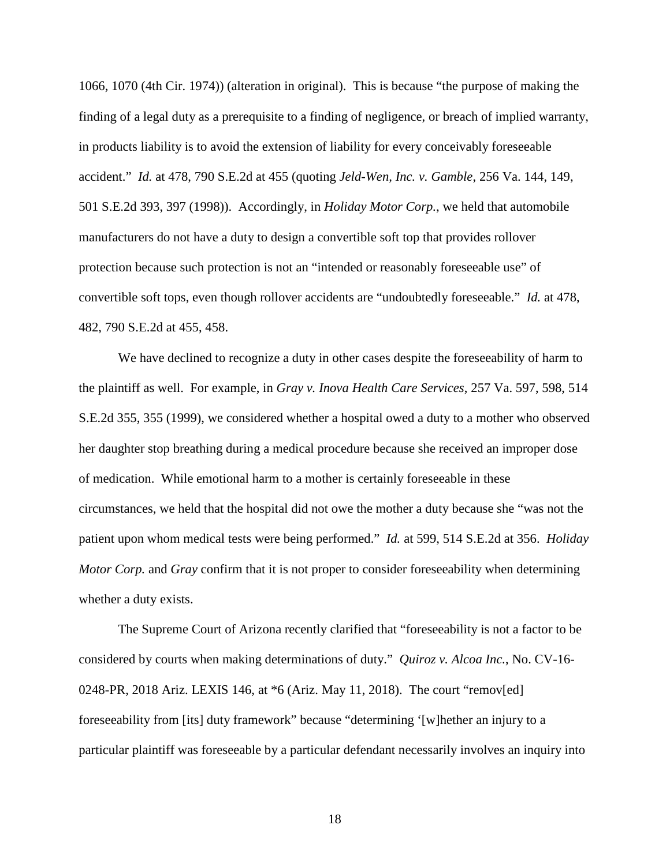1066, 1070 (4th Cir. 1974)) (alteration in original). This is because "the purpose of making the finding of a legal duty as a prerequisite to a finding of negligence, or breach of implied warranty, in products liability is to avoid the extension of liability for every conceivably foreseeable accident." *Id.* at 478, 790 S.E.2d at 455 (quoting *Jeld-Wen, Inc. v. Gamble*, 256 Va. 144, 149, 501 S.E.2d 393, 397 (1998)). Accordingly, in *Holiday Motor Corp.*, we held that automobile manufacturers do not have a duty to design a convertible soft top that provides rollover protection because such protection is not an "intended or reasonably foreseeable use" of convertible soft tops, even though rollover accidents are "undoubtedly foreseeable." *Id.* at 478, 482, 790 S.E.2d at 455, 458.

We have declined to recognize a duty in other cases despite the foreseeability of harm to the plaintiff as well. For example, in *Gray v. Inova Health Care Services*, 257 Va. 597, 598, 514 S.E.2d 355, 355 (1999), we considered whether a hospital owed a duty to a mother who observed her daughter stop breathing during a medical procedure because she received an improper dose of medication. While emotional harm to a mother is certainly foreseeable in these circumstances, we held that the hospital did not owe the mother a duty because she "was not the patient upon whom medical tests were being performed." *Id.* at 599, 514 S.E.2d at 356. *Holiday Motor Corp.* and *Gray* confirm that it is not proper to consider foreseeability when determining whether a duty exists.

The Supreme Court of Arizona recently clarified that "foreseeability is not a factor to be considered by courts when making determinations of duty." *Quiroz v. Alcoa Inc.*, No. CV-16- 0248-PR, 2018 Ariz. LEXIS 146, at \*6 (Ariz. May 11, 2018). The court "remov[ed] foreseeability from [its] duty framework" because "determining '[w]hether an injury to a particular plaintiff was foreseeable by a particular defendant necessarily involves an inquiry into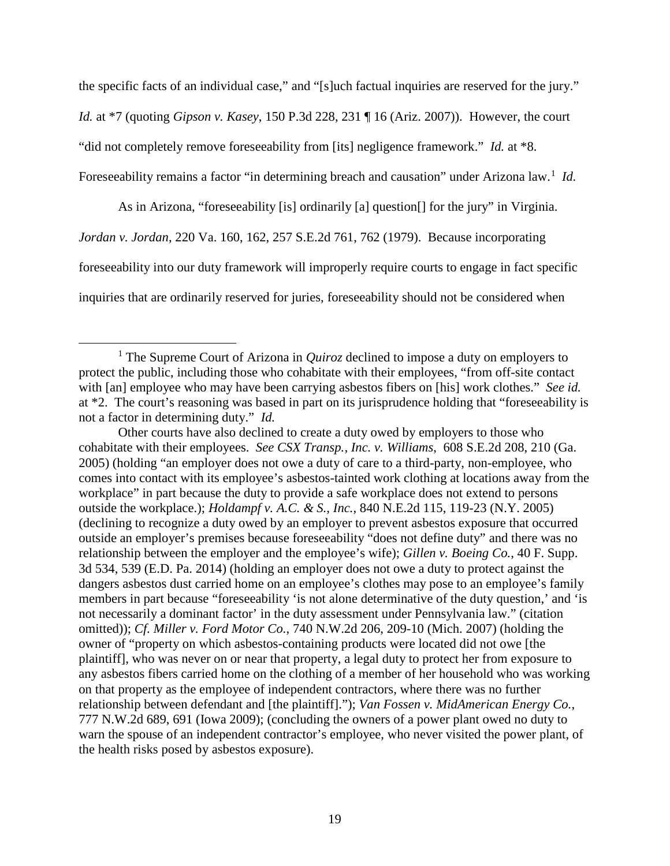the specific facts of an individual case," and "[s]uch factual inquiries are reserved for the jury." *Id.* at \*7 (quoting *Gipson v. Kasey*, 150 P.3d 228, 231 ¶ 16 (Ariz. 2007)). However, the court "did not completely remove foreseeability from [its] negligence framework." *Id.* at \*8. Foreseeability remains a factor "in determining breach and causation" under Arizona law.<sup>[1](#page-18-0)</sup> Id.

 As in Arizona, "foreseeability [is] ordinarily [a] question[] for the jury" in Virginia. *Jordan v. Jordan*, 220 Va. 160, 162, 257 S.E.2d 761, 762 (1979). Because incorporating foreseeability into our duty framework will improperly require courts to engage in fact specific inquiries that are ordinarily reserved for juries, foreseeability should not be considered when

 Other courts have also declined to create a duty owed by employers to those who cohabitate with their employees. *See CSX Transp., Inc. v. Williams*, 608 S.E.2d 208, 210 (Ga. 2005) (holding "an employer does not owe a duty of care to a third-party, non-employee, who comes into contact with its employee's asbestos-tainted work clothing at locations away from the workplace" in part because the duty to provide a safe workplace does not extend to persons outside the workplace.); *Holdampf v. A.C. & S., Inc.*, 840 N.E.2d 115, 119-23 (N.Y. 2005) (declining to recognize a duty owed by an employer to prevent asbestos exposure that occurred outside an employer's premises because foreseeability "does not define duty" and there was no relationship between the employer and the employee's wife); *Gillen v. Boeing Co.*, 40 F. Supp. 3d 534, 539 (E.D. Pa. 2014) (holding an employer does not owe a duty to protect against the dangers asbestos dust carried home on an employee's clothes may pose to an employee's family members in part because "foreseeability 'is not alone determinative of the duty question,' and 'is not necessarily a dominant factor' in the duty assessment under Pennsylvania law." (citation omitted)); *Cf. Miller v. Ford Motor Co.*, 740 N.W.2d 206, 209-10 (Mich. 2007) (holding the owner of "property on which asbestos-containing products were located did not owe [the plaintiff], who was never on or near that property, a legal duty to protect her from exposure to any asbestos fibers carried home on the clothing of a member of her household who was working on that property as the employee of independent contractors, where there was no further relationship between defendant and [the plaintiff]."); *Van Fossen v. MidAmerican Energy Co.*, 777 N.W.2d 689, 691 (Iowa 2009); (concluding the owners of a power plant owed no duty to warn the spouse of an independent contractor's employee, who never visited the power plant, of the health risks posed by asbestos exposure).

<span id="page-18-0"></span><sup>&</sup>lt;u>1</u> <sup>1</sup> The Supreme Court of Arizona in *Quiroz* declined to impose a duty on employers to protect the public, including those who cohabitate with their employees, "from off-site contact with [an] employee who may have been carrying asbestos fibers on [his] work clothes." *See id.* at \*2. The court's reasoning was based in part on its jurisprudence holding that "foreseeability is not a factor in determining duty." *Id.*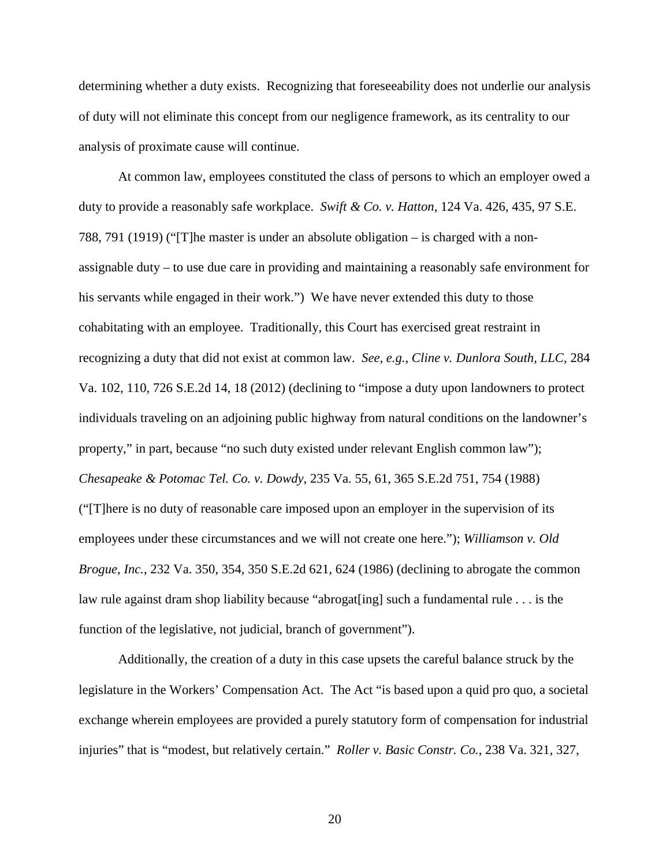determining whether a duty exists. Recognizing that foreseeability does not underlie our analysis of duty will not eliminate this concept from our negligence framework, as its centrality to our analysis of proximate cause will continue.

 At common law, employees constituted the class of persons to which an employer owed a duty to provide a reasonably safe workplace. *Swift & Co. v. Hatton*, 124 Va. 426, 435, 97 S.E. 788, 791 (1919) ("[T]he master is under an absolute obligation – is charged with a nonassignable duty – to use due care in providing and maintaining a reasonably safe environment for his servants while engaged in their work.") We have never extended this duty to those cohabitating with an employee. Traditionally, this Court has exercised great restraint in recognizing a duty that did not exist at common law. *See, e.g.*, *Cline v. Dunlora South, LLC*, 284 Va. 102, 110, 726 S.E.2d 14, 18 (2012) (declining to "impose a duty upon landowners to protect individuals traveling on an adjoining public highway from natural conditions on the landowner's property," in part, because "no such duty existed under relevant English common law"); *Chesapeake & Potomac Tel. Co. v. Dowdy*, 235 Va. 55, 61, 365 S.E.2d 751, 754 (1988) ("[T]here is no duty of reasonable care imposed upon an employer in the supervision of its employees under these circumstances and we will not create one here."); *Williamson v. Old Brogue, Inc.*, 232 Va. 350, 354, 350 S.E.2d 621, 624 (1986) (declining to abrogate the common law rule against dram shop liability because "abrogat[ing] such a fundamental rule . . . is the function of the legislative, not judicial, branch of government").

 Additionally, the creation of a duty in this case upsets the careful balance struck by the legislature in the Workers' Compensation Act. The Act "is based upon a quid pro quo, a societal exchange wherein employees are provided a purely statutory form of compensation for industrial injuries" that is "modest, but relatively certain." *Roller v. Basic Constr. Co.*, 238 Va. 321, 327,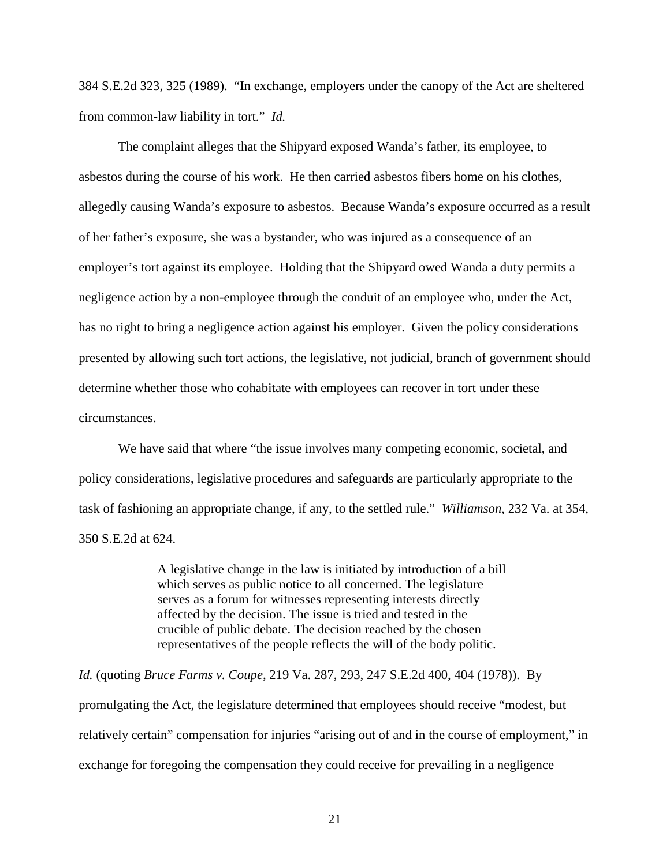384 S.E.2d 323, 325 (1989). "In exchange, employers under the canopy of the Act are sheltered from common-law liability in tort." *Id.*

The complaint alleges that the Shipyard exposed Wanda's father, its employee, to asbestos during the course of his work. He then carried asbestos fibers home on his clothes, allegedly causing Wanda's exposure to asbestos. Because Wanda's exposure occurred as a result of her father's exposure, she was a bystander, who was injured as a consequence of an employer's tort against its employee. Holding that the Shipyard owed Wanda a duty permits a negligence action by a non-employee through the conduit of an employee who, under the Act, has no right to bring a negligence action against his employer. Given the policy considerations presented by allowing such tort actions, the legislative, not judicial, branch of government should determine whether those who cohabitate with employees can recover in tort under these circumstances.

 We have said that where "the issue involves many competing economic, societal, and policy considerations, legislative procedures and safeguards are particularly appropriate to the task of fashioning an appropriate change, if any, to the settled rule." *Williamson*, 232 Va. at 354, 350 S.E.2d at 624.

> A legislative change in the law is initiated by introduction of a bill which serves as public notice to all concerned. The legislature serves as a forum for witnesses representing interests directly affected by the decision. The issue is tried and tested in the crucible of public debate. The decision reached by the chosen representatives of the people reflects the will of the body politic.

*Id.* (quoting *Bruce Farms v. Coupe*, 219 Va. 287, 293, 247 S.E.2d 400, 404 (1978)). By promulgating the Act, the legislature determined that employees should receive "modest, but relatively certain" compensation for injuries "arising out of and in the course of employment," in exchange for foregoing the compensation they could receive for prevailing in a negligence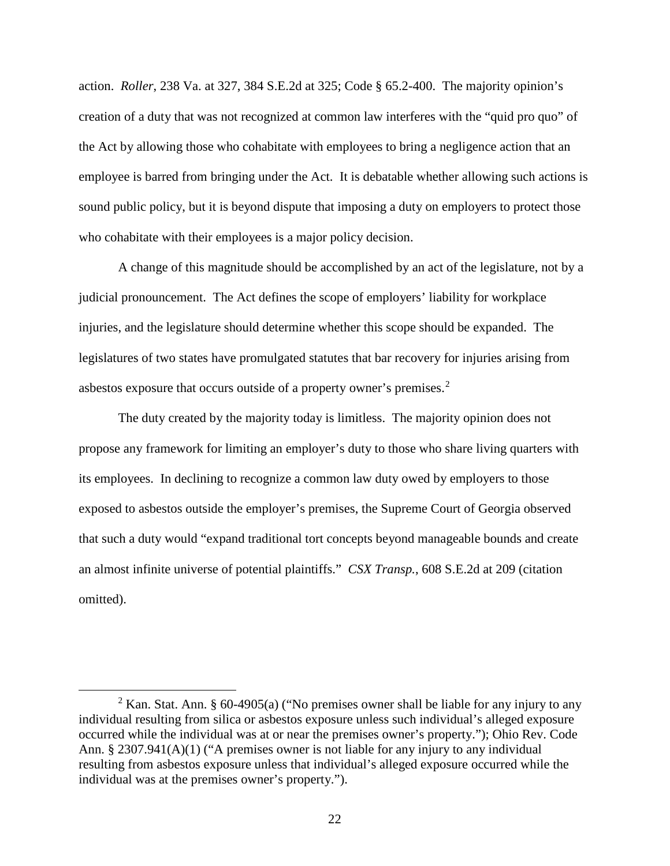action. *Roller*, 238 Va. at 327, 384 S.E.2d at 325; Code § 65.2-400. The majority opinion's creation of a duty that was not recognized at common law interferes with the "quid pro quo" of the Act by allowing those who cohabitate with employees to bring a negligence action that an employee is barred from bringing under the Act. It is debatable whether allowing such actions is sound public policy, but it is beyond dispute that imposing a duty on employers to protect those who cohabitate with their employees is a major policy decision.

 A change of this magnitude should be accomplished by an act of the legislature, not by a judicial pronouncement. The Act defines the scope of employers' liability for workplace injuries, and the legislature should determine whether this scope should be expanded. The legislatures of two states have promulgated statutes that bar recovery for injuries arising from asbestos exposure that occurs outside of a property owner's premises.[2](#page-21-0)

 The duty created by the majority today is limitless. The majority opinion does not propose any framework for limiting an employer's duty to those who share living quarters with its employees. In declining to recognize a common law duty owed by employers to those exposed to asbestos outside the employer's premises, the Supreme Court of Georgia observed that such a duty would "expand traditional tort concepts beyond manageable bounds and create an almost infinite universe of potential plaintiffs." *CSX Transp.*, 608 S.E.2d at 209 (citation omitted).

<span id="page-21-0"></span><sup>2</sup> <sup>2</sup> Kan. Stat. Ann. § 60-4905(a) ("No premises owner shall be liable for any injury to any individual resulting from silica or asbestos exposure unless such individual's alleged exposure occurred while the individual was at or near the premises owner's property."); Ohio Rev. Code Ann. § 2307.941(A)(1) ("A premises owner is not liable for any injury to any individual resulting from asbestos exposure unless that individual's alleged exposure occurred while the individual was at the premises owner's property.").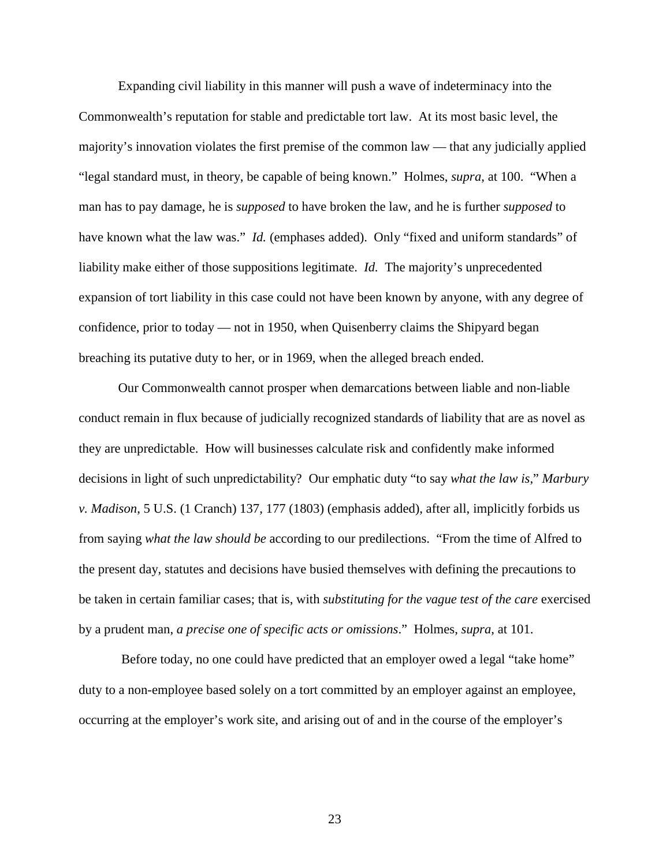Expanding civil liability in this manner will push a wave of indeterminacy into the Commonwealth's reputation for stable and predictable tort law. At its most basic level, the majority's innovation violates the first premise of the common law — that any judicially applied "legal standard must, in theory, be capable of being known." Holmes, *supra*, at 100. "When a man has to pay damage, he is *supposed* to have broken the law, and he is further *supposed* to have known what the law was." *Id.* (emphases added). Only "fixed and uniform standards" of liability make either of those suppositions legitimate. *Id.* The majority's unprecedented expansion of tort liability in this case could not have been known by anyone, with any degree of confidence, prior to today — not in 1950, when Quisenberry claims the Shipyard began breaching its putative duty to her, or in 1969, when the alleged breach ended.

 Our Commonwealth cannot prosper when demarcations between liable and non-liable conduct remain in flux because of judicially recognized standards of liability that are as novel as they are unpredictable. How will businesses calculate risk and confidently make informed decisions in light of such unpredictability? Our emphatic duty "to say *what the law is*," *Marbury v. Madison*, 5 U.S. (1 Cranch) 137, 177 (1803) (emphasis added), after all, implicitly forbids us from saying *what the law should be* according to our predilections. "From the time of Alfred to the present day, statutes and decisions have busied themselves with defining the precautions to be taken in certain familiar cases; that is, with *substituting for the vague test of the care* exercised by a prudent man, *a precise one of specific acts or omissions*." Holmes, *supra*, at 101.

 Before today, no one could have predicted that an employer owed a legal "take home" duty to a non-employee based solely on a tort committed by an employer against an employee, occurring at the employer's work site, and arising out of and in the course of the employer's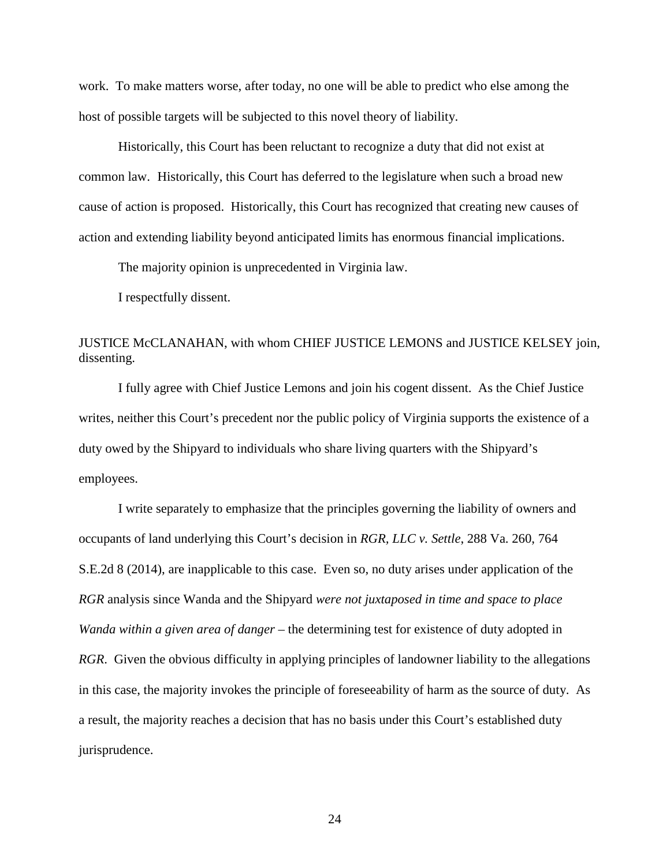work. To make matters worse, after today, no one will be able to predict who else among the host of possible targets will be subjected to this novel theory of liability.

 Historically, this Court has been reluctant to recognize a duty that did not exist at common law. Historically, this Court has deferred to the legislature when such a broad new cause of action is proposed. Historically, this Court has recognized that creating new causes of action and extending liability beyond anticipated limits has enormous financial implications.

The majority opinion is unprecedented in Virginia law.

I respectfully dissent.

# JUSTICE McCLANAHAN, with whom CHIEF JUSTICE LEMONS and JUSTICE KELSEY join, dissenting.

 I fully agree with Chief Justice Lemons and join his cogent dissent. As the Chief Justice writes, neither this Court's precedent nor the public policy of Virginia supports the existence of a duty owed by the Shipyard to individuals who share living quarters with the Shipyard's employees.

I write separately to emphasize that the principles governing the liability of owners and occupants of land underlying this Court's decision in *RGR, LLC v. Settle*, 288 Va. 260, 764 S.E.2d 8 (2014), are inapplicable to this case. Even so, no duty arises under application of the *RGR* analysis since Wanda and the Shipyard *were not juxtaposed in time and space to place Wanda within a given area of danger* – the determining test for existence of duty adopted in *RGR*. Given the obvious difficulty in applying principles of landowner liability to the allegations in this case, the majority invokes the principle of foreseeability of harm as the source of duty. As a result, the majority reaches a decision that has no basis under this Court's established duty jurisprudence.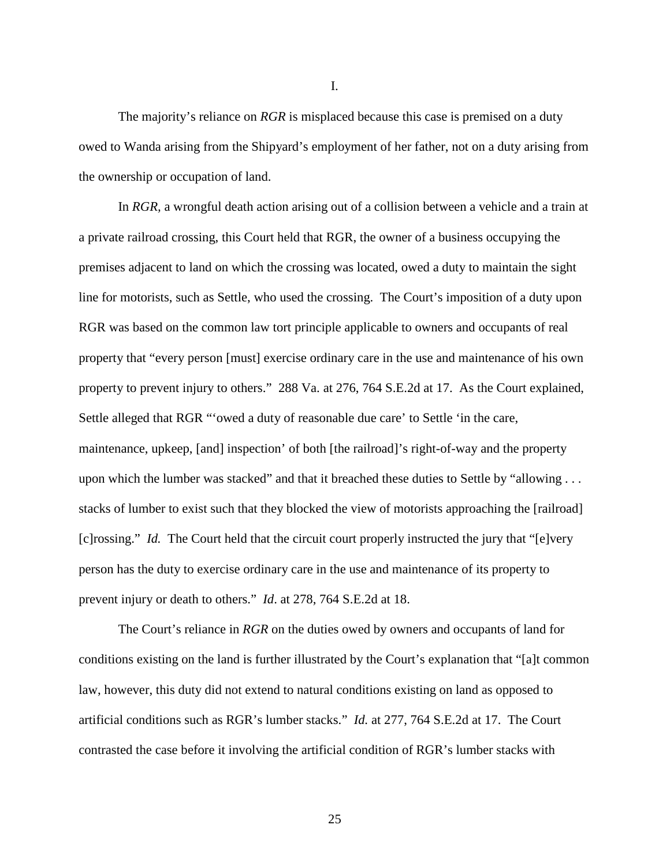The majority's reliance on *RGR* is misplaced because this case is premised on a duty owed to Wanda arising from the Shipyard's employment of her father, not on a duty arising from the ownership or occupation of land.

In *RGR,* a wrongful death action arising out of a collision between a vehicle and a train at a private railroad crossing, this Court held that RGR, the owner of a business occupying the premises adjacent to land on which the crossing was located, owed a duty to maintain the sight line for motorists, such as Settle, who used the crossing. The Court's imposition of a duty upon RGR was based on the common law tort principle applicable to owners and occupants of real property that "every person [must] exercise ordinary care in the use and maintenance of his own property to prevent injury to others." 288 Va. at 276, 764 S.E.2d at 17. As the Court explained, Settle alleged that RGR "'owed a duty of reasonable due care' to Settle 'in the care, maintenance, upkeep, [and] inspection' of both [the railroad]'s right-of-way and the property upon which the lumber was stacked" and that it breached these duties to Settle by "allowing . . . stacks of lumber to exist such that they blocked the view of motorists approaching the [railroad] [c]rossing." *Id.* The Court held that the circuit court properly instructed the jury that "[e]very person has the duty to exercise ordinary care in the use and maintenance of its property to prevent injury or death to others." *Id*. at 278, 764 S.E.2d at 18.

The Court's reliance in *RGR* on the duties owed by owners and occupants of land for conditions existing on the land is further illustrated by the Court's explanation that "[a]t common law, however, this duty did not extend to natural conditions existing on land as opposed to artificial conditions such as RGR's lumber stacks." *Id.* at 277, 764 S.E.2d at 17. The Court contrasted the case before it involving the artificial condition of RGR's lumber stacks with

I.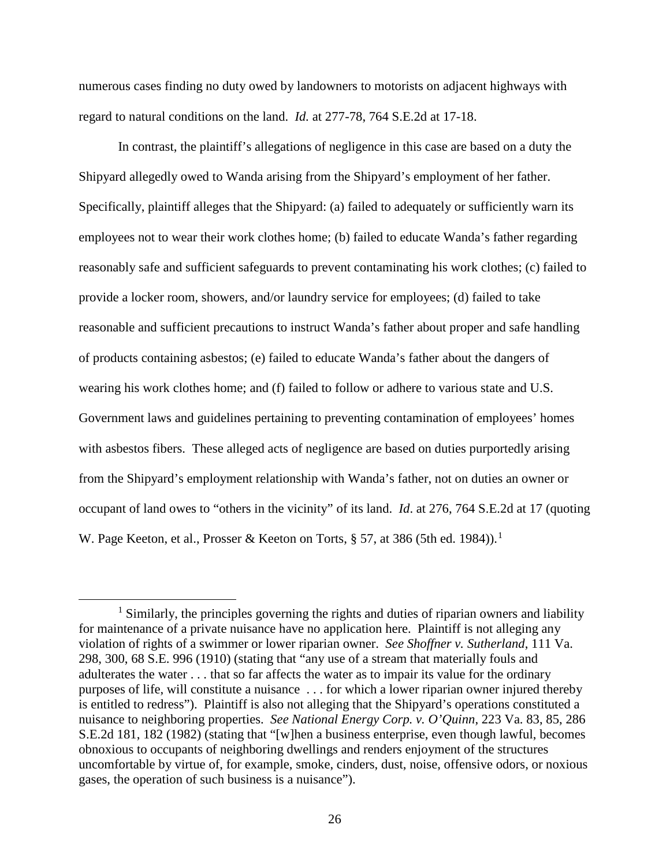numerous cases finding no duty owed by landowners to motorists on adjacent highways with regard to natural conditions on the land. *Id.* at 277-78, 764 S.E.2d at 17-18.

In contrast, the plaintiff's allegations of negligence in this case are based on a duty the Shipyard allegedly owed to Wanda arising from the Shipyard's employment of her father. Specifically, plaintiff alleges that the Shipyard: (a) failed to adequately or sufficiently warn its employees not to wear their work clothes home; (b) failed to educate Wanda's father regarding reasonably safe and sufficient safeguards to prevent contaminating his work clothes; (c) failed to provide a locker room, showers, and/or laundry service for employees; (d) failed to take reasonable and sufficient precautions to instruct Wanda's father about proper and safe handling of products containing asbestos; (e) failed to educate Wanda's father about the dangers of wearing his work clothes home; and (f) failed to follow or adhere to various state and U.S. Government laws and guidelines pertaining to preventing contamination of employees' homes with asbestos fibers. These alleged acts of negligence are based on duties purportedly arising from the Shipyard's employment relationship with Wanda's father, not on duties an owner or occupant of land owes to "others in the vicinity" of its land. *Id*. at 276, 764 S.E.2d at 17 (quoting W. Page Keeton, et al., Prosser & Keeton on Torts,  $\S 57$ , at 386 (5th ed. [1](#page-25-0)984)).<sup>1</sup>

<span id="page-25-0"></span> $<sup>1</sup>$  Similarly, the principles governing the rights and duties of riparian owners and liability</sup> for maintenance of a private nuisance have no application here. Plaintiff is not alleging any violation of rights of a swimmer or lower riparian owner. *See Shoffner v. Sutherland*, 111 Va. 298, 300, 68 S.E. 996 (1910) (stating that "any use of a stream that materially fouls and adulterates the water . . . that so far affects the water as to impair its value for the ordinary purposes of life, will constitute a nuisance . . . for which a lower riparian owner injured thereby is entitled to redress"). Plaintiff is also not alleging that the Shipyard's operations constituted a nuisance to neighboring properties. *See National Energy Corp. v. O'Quinn*, 223 Va. 83, 85, 286 S.E.2d 181, 182 (1982) (stating that "[w]hen a business enterprise, even though lawful, becomes obnoxious to occupants of neighboring dwellings and renders enjoyment of the structures uncomfortable by virtue of, for example, smoke, cinders, dust, noise, offensive odors, or noxious gases, the operation of such business is a nuisance").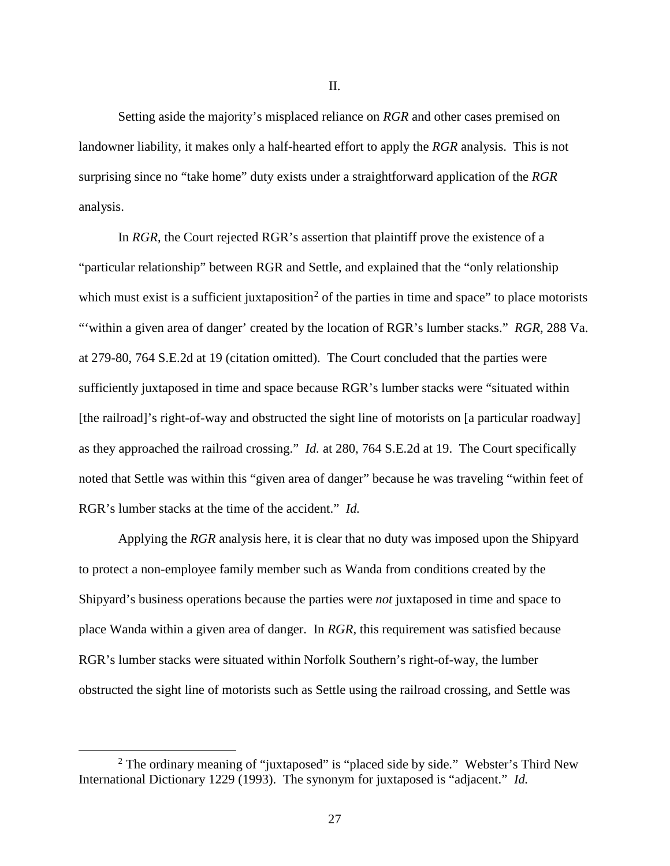Setting aside the majority's misplaced reliance on *RGR* and other cases premised on landowner liability, it makes only a half-hearted effort to apply the *RGR* analysis. This is not surprising since no "take home" duty exists under a straightforward application of the *RGR* analysis.

In *RGR*, the Court rejected RGR's assertion that plaintiff prove the existence of a "particular relationship" between RGR and Settle, and explained that the "only relationship which must exist is a sufficient juxtaposition<sup>[2](#page-26-0)</sup> of the parties in time and space" to place motorists "'within a given area of danger' created by the location of RGR's lumber stacks." *RGR*, 288 Va. at 279-80, 764 S.E.2d at 19 (citation omitted). The Court concluded that the parties were sufficiently juxtaposed in time and space because RGR's lumber stacks were "situated within [the railroad]'s right-of-way and obstructed the sight line of motorists on [a particular roadway] as they approached the railroad crossing." *Id.* at 280, 764 S.E.2d at 19. The Court specifically noted that Settle was within this "given area of danger" because he was traveling "within feet of RGR's lumber stacks at the time of the accident." *Id.*

 Applying the *RGR* analysis here, it is clear that no duty was imposed upon the Shipyard to protect a non-employee family member such as Wanda from conditions created by the Shipyard's business operations because the parties were *not* juxtaposed in time and space to place Wanda within a given area of danger. In *RGR*, this requirement was satisfied because RGR's lumber stacks were situated within Norfolk Southern's right-of-way, the lumber obstructed the sight line of motorists such as Settle using the railroad crossing, and Settle was

<span id="page-26-0"></span><sup>&</sup>lt;sup>2</sup> The ordinary meaning of "juxtaposed" is "placed side by side." Webster's Third New International Dictionary 1229 (1993). The synonym for juxtaposed is "adjacent." *Id.*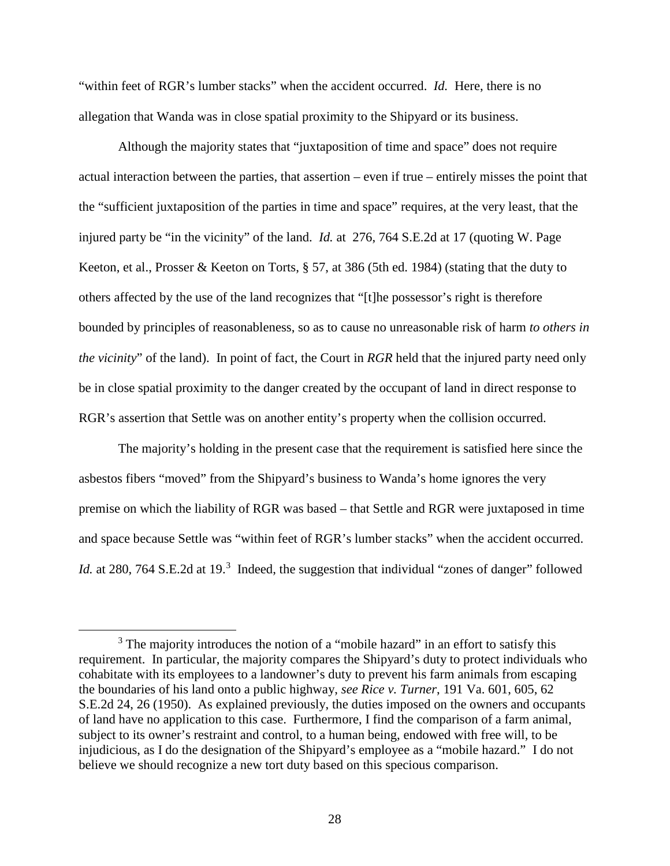"within feet of RGR's lumber stacks" when the accident occurred. *Id.* Here, there is no allegation that Wanda was in close spatial proximity to the Shipyard or its business.

Although the majority states that "juxtaposition of time and space" does not require actual interaction between the parties, that assertion – even if true – entirely misses the point that the "sufficient juxtaposition of the parties in time and space" requires, at the very least, that the injured party be "in the vicinity" of the land. *Id.* at 276, 764 S.E.2d at 17 (quoting W. Page Keeton, et al., Prosser & Keeton on Torts, § 57, at 386 (5th ed. 1984) (stating that the duty to others affected by the use of the land recognizes that "[t]he possessor's right is therefore bounded by principles of reasonableness, so as to cause no unreasonable risk of harm *to others in the vicinity*" of the land). In point of fact, the Court in *RGR* held that the injured party need only be in close spatial proximity to the danger created by the occupant of land in direct response to RGR's assertion that Settle was on another entity's property when the collision occurred.

The majority's holding in the present case that the requirement is satisfied here since the asbestos fibers "moved" from the Shipyard's business to Wanda's home ignores the very premise on which the liability of RGR was based – that Settle and RGR were juxtaposed in time and space because Settle was "within feet of RGR's lumber stacks" when the accident occurred. Id. at 280, 764 S.E.2d at 19.<sup>[3](#page-27-0)</sup> Indeed, the suggestion that individual "zones of danger" followed

<span id="page-27-0"></span><sup>&</sup>lt;sup>3</sup> The majority introduces the notion of a "mobile hazard" in an effort to satisfy this requirement. In particular, the majority compares the Shipyard's duty to protect individuals who cohabitate with its employees to a landowner's duty to prevent his farm animals from escaping the boundaries of his land onto a public highway, *see Rice v. Turner*, 191 Va. 601, 605, 62 S.E.2d 24, 26 (1950). As explained previously, the duties imposed on the owners and occupants of land have no application to this case. Furthermore, I find the comparison of a farm animal, subject to its owner's restraint and control, to a human being, endowed with free will, to be injudicious, as I do the designation of the Shipyard's employee as a "mobile hazard." I do not believe we should recognize a new tort duty based on this specious comparison.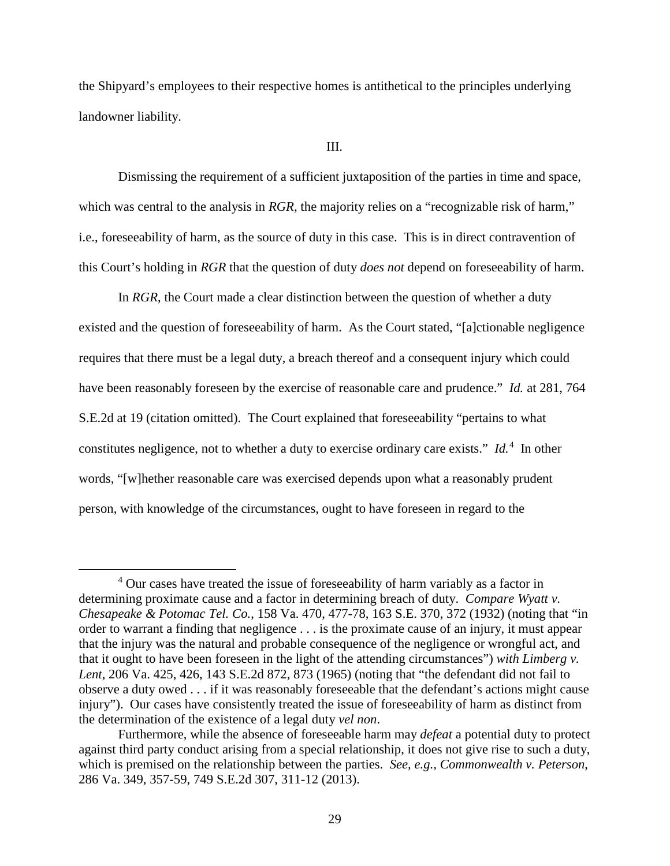the Shipyard's employees to their respective homes is antithetical to the principles underlying landowner liability.

#### III.

Dismissing the requirement of a sufficient juxtaposition of the parties in time and space, which was central to the analysis in *RGR*, the majority relies on a "recognizable risk of harm," i.e., foreseeability of harm, as the source of duty in this case. This is in direct contravention of this Court's holding in *RGR* that the question of duty *does not* depend on foreseeability of harm.

In *RGR*, the Court made a clear distinction between the question of whether a duty existed and the question of foreseeability of harm. As the Court stated, "[a]ctionable negligence requires that there must be a legal duty, a breach thereof and a consequent injury which could have been reasonably foreseen by the exercise of reasonable care and prudence." *Id.* at 281, 764 S.E.2d at 19 (citation omitted). The Court explained that foreseeability "pertains to what constitutes negligence, not to whether a duty to exercise ordinary care exists." *Id.*<sup>[4](#page-28-0)</sup> In other words, "[w]hether reasonable care was exercised depends upon what a reasonably prudent person, with knowledge of the circumstances, ought to have foreseen in regard to the

<span id="page-28-0"></span><sup>&</sup>lt;sup>4</sup> Our cases have treated the issue of foreseeability of harm variably as a factor in determining proximate cause and a factor in determining breach of duty. *Compare Wyatt v. Chesapeake & Potomac Tel. Co.*, 158 Va. 470, 477-78, 163 S.E. 370, 372 (1932) (noting that "in order to warrant a finding that negligence . . . is the proximate cause of an injury, it must appear that the injury was the natural and probable consequence of the negligence or wrongful act, and that it ought to have been foreseen in the light of the attending circumstances") *with Limberg v. Lent*, 206 Va. 425, 426, 143 S.E.2d 872, 873 (1965) (noting that "the defendant did not fail to observe a duty owed . . . if it was reasonably foreseeable that the defendant's actions might cause injury"). Our cases have consistently treated the issue of foreseeability of harm as distinct from the determination of the existence of a legal duty *vel non*.

Furthermore, while the absence of foreseeable harm may *defeat* a potential duty to protect against third party conduct arising from a special relationship, it does not give rise to such a duty, which is premised on the relationship between the parties. *See, e.g., Commonwealth v. Peterson*, 286 Va. 349, 357-59, 749 S.E.2d 307, 311-12 (2013).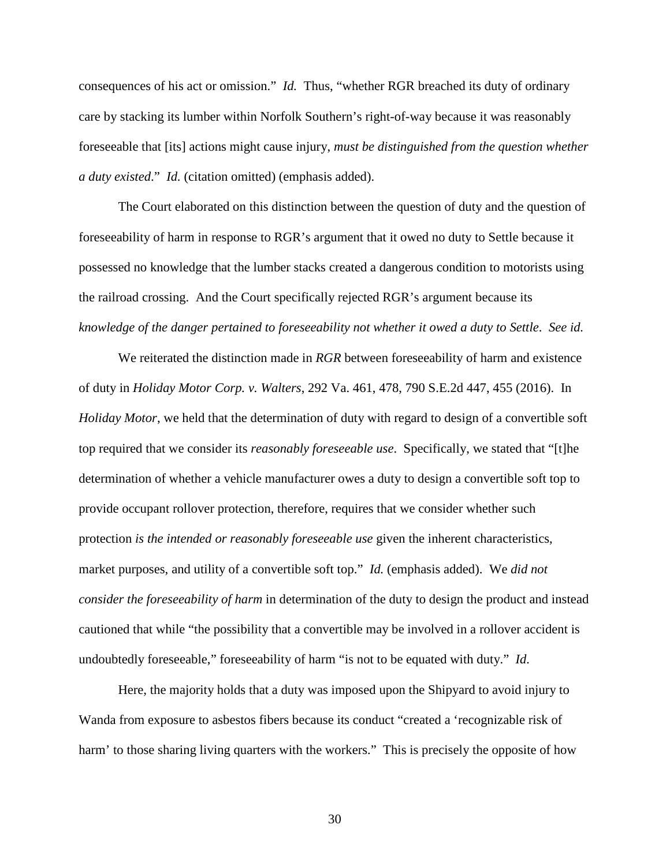consequences of his act or omission." *Id.* Thus, "whether RGR breached its duty of ordinary care by stacking its lumber within Norfolk Southern's right-of-way because it was reasonably foreseeable that [its] actions might cause injury, *must be distinguished from the question whether a duty existed*." *Id.* (citation omitted) (emphasis added).

The Court elaborated on this distinction between the question of duty and the question of foreseeability of harm in response to RGR's argument that it owed no duty to Settle because it possessed no knowledge that the lumber stacks created a dangerous condition to motorists using the railroad crossing. And the Court specifically rejected RGR's argument because its *knowledge of the danger pertained to foreseeability not whether it owed a duty to Settle*. *See id.*

We reiterated the distinction made in *RGR* between foreseeability of harm and existence of duty in *Holiday Motor Corp. v. Walters*, 292 Va. 461, 478, 790 S.E.2d 447, 455 (2016). In *Holiday Motor*, we held that the determination of duty with regard to design of a convertible soft top required that we consider its *reasonably foreseeable use*. Specifically, we stated that "[t]he determination of whether a vehicle manufacturer owes a duty to design a convertible soft top to provide occupant rollover protection, therefore, requires that we consider whether such protection *is the intended or reasonably foreseeable use* given the inherent characteristics, market purposes, and utility of a convertible soft top." *Id.* (emphasis added). We *did not consider the foreseeability of harm* in determination of the duty to design the product and instead cautioned that while "the possibility that a convertible may be involved in a rollover accident is undoubtedly foreseeable," foreseeability of harm "is not to be equated with duty." *Id.*

Here, the majority holds that a duty was imposed upon the Shipyard to avoid injury to Wanda from exposure to asbestos fibers because its conduct "created a 'recognizable risk of harm' to those sharing living quarters with the workers." This is precisely the opposite of how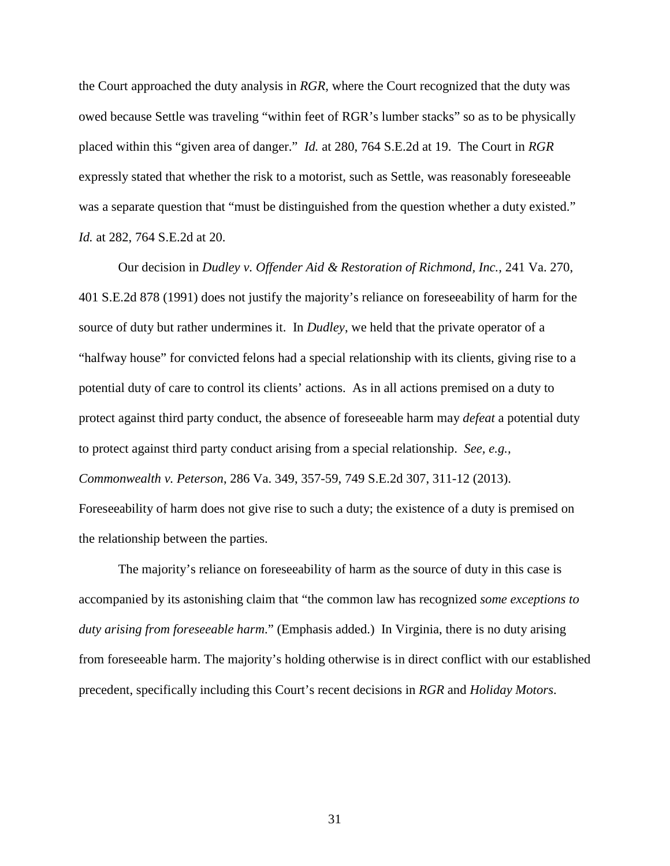the Court approached the duty analysis in *RGR,* where the Court recognized that the duty was owed because Settle was traveling "within feet of RGR's lumber stacks" so as to be physically placed within this "given area of danger." *Id.* at 280, 764 S.E.2d at 19. The Court in *RGR* expressly stated that whether the risk to a motorist, such as Settle, was reasonably foreseeable was a separate question that "must be distinguished from the question whether a duty existed." *Id.* at 282, 764 S.E.2d at 20.

 Our decision in *Dudley v. Offender Aid & Restoration of Richmond, Inc.,* 241 Va. 270, 401 S.E.2d 878 (1991) does not justify the majority's reliance on foreseeability of harm for the source of duty but rather undermines it. In *Dudley*, we held that the private operator of a "halfway house" for convicted felons had a special relationship with its clients, giving rise to a potential duty of care to control its clients' actions. As in all actions premised on a duty to protect against third party conduct, the absence of foreseeable harm may *defeat* a potential duty to protect against third party conduct arising from a special relationship. *See, e.g., Commonwealth v. Peterson*, 286 Va. 349, 357-59, 749 S.E.2d 307, 311-12 (2013). Foreseeability of harm does not give rise to such a duty; the existence of a duty is premised on the relationship between the parties.

The majority's reliance on foreseeability of harm as the source of duty in this case is accompanied by its astonishing claim that "the common law has recognized *some exceptions to duty arising from foreseeable harm*." (Emphasis added.) In Virginia, there is no duty arising from foreseeable harm. The majority's holding otherwise is in direct conflict with our established precedent, specifically including this Court's recent decisions in *RGR* and *Holiday Motors*.